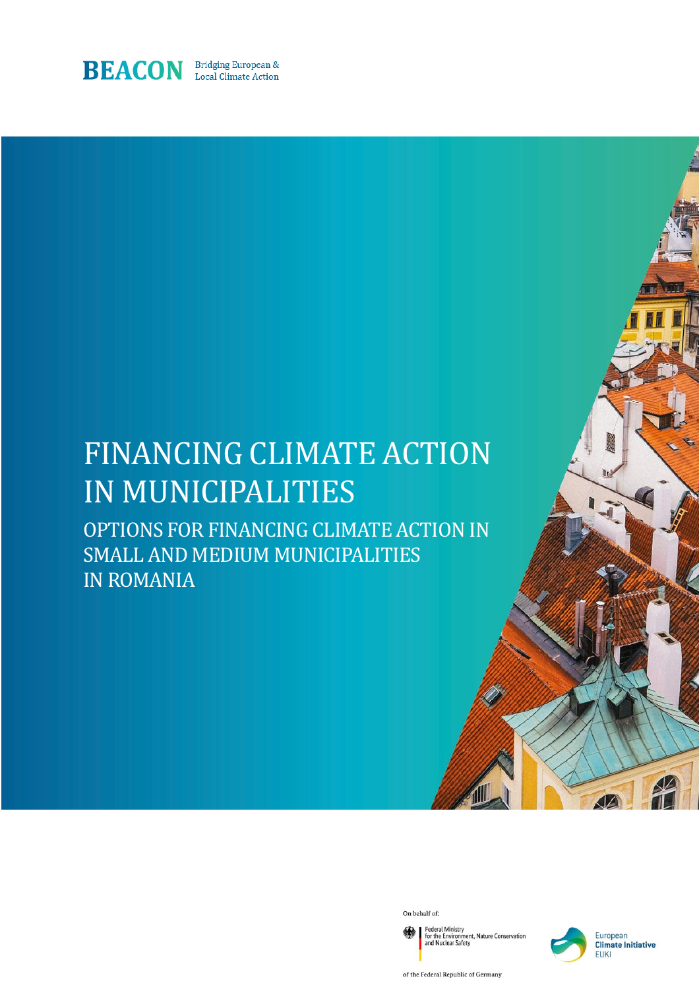

# FINANCING CLIMATE ACTION IN MUNICIPALITIES

OPTIONS FOR FINANCING CLIMATE ACTION IN SMALL AND MEDIUM MUNICIPALITIES IN ROMANIA

On behalf of:

Federal Ministry<br>for the Environment, Nature Conservation<br>and Nuclear Safety



**4Z** 

of the Federal Republic of Germany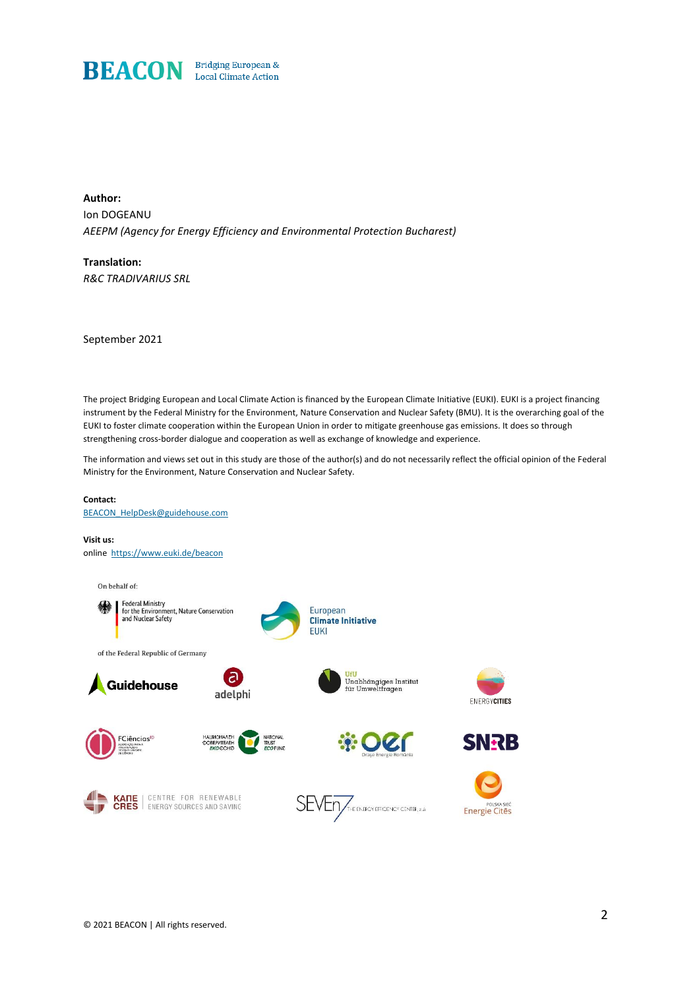

**Author:** Ion DOGEANU *AEEPM (Agency for Energy Efficiency and Environmental Protection Bucharest)*

**Translation:** *R&C TRADIVARIUS SRL*

September 2021

The project Bridging European and Local Climate Action is financed by the European Climate Initiative (EUKI). EUKI is a project financing instrument by the Federal Ministry for the Environment, Nature Conservation and Nuclear Safety (BMU). It is the overarching goal of the EUKI to foster climate cooperation within the European Union in order to mitigate greenhouse gas emissions. It does so through strengthening cross-border dialogue and cooperation as well as exchange of knowledge and experience.

The information and views set out in this study are those of the author(s) and do not necessarily reflect the official opinion of the Federal Ministry for the Environment, Nature Conservation and Nuclear Safety.

### **Contact:**

[BEACON\\_HelpDesk@guidehouse.com](mailto:BEACON_HelpDesk@guidehouse.com)

#### **Visit us:**

online <https://www.euki.de/beacon>

Federal Ministry<br>for the Environment, Nature Conservation<br>and Nuclear Safety

**Federal Ministry** 

of the Federal Republic of Germany

**Guidehouse** 

FCiências<sup>ID</sup>

On behalf of:



NATIONAL<br>TRUST<br>ECO FUNO

( ට

adelphi







**SNRB** 

Energie Cites





**KANE** | CENTRE FOR RENEWABLE<br>**CRES** | ENERGY SOURCES AND SAVING

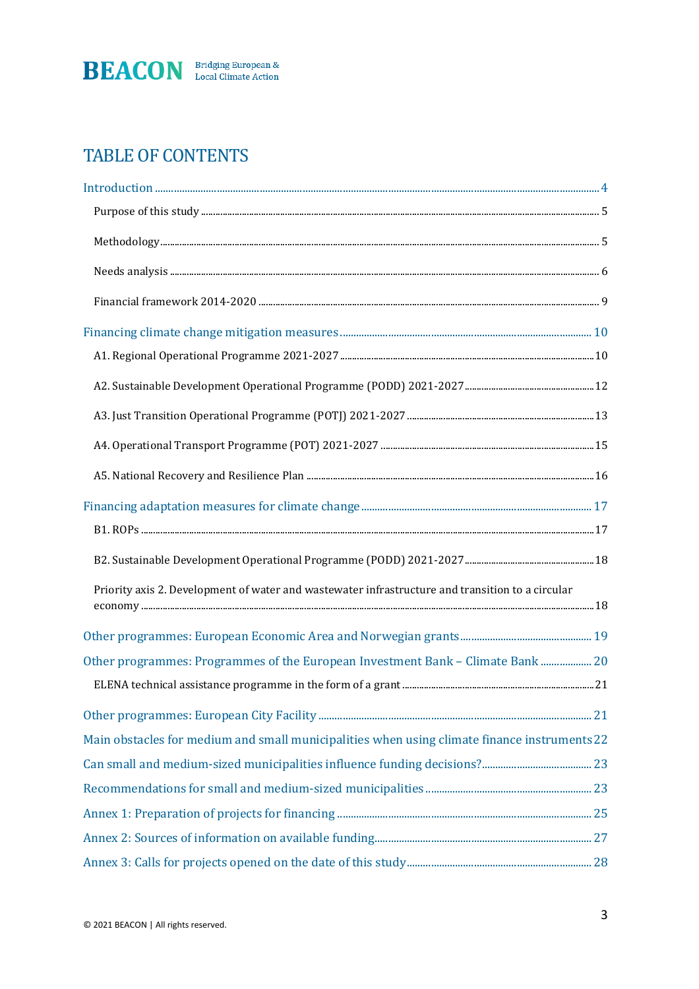

# TABLE OF CONTENTS

| Priority axis 2. Development of water and wastewater infrastructure and transition to a circular |  |
|--------------------------------------------------------------------------------------------------|--|
|                                                                                                  |  |
| Other programmes: Programmes of the European Investment Bank - Climate Bank  20                  |  |
|                                                                                                  |  |
|                                                                                                  |  |
| Main obstacles for medium and small municipalities when using climate finance instruments 22     |  |
|                                                                                                  |  |
|                                                                                                  |  |
|                                                                                                  |  |
|                                                                                                  |  |
|                                                                                                  |  |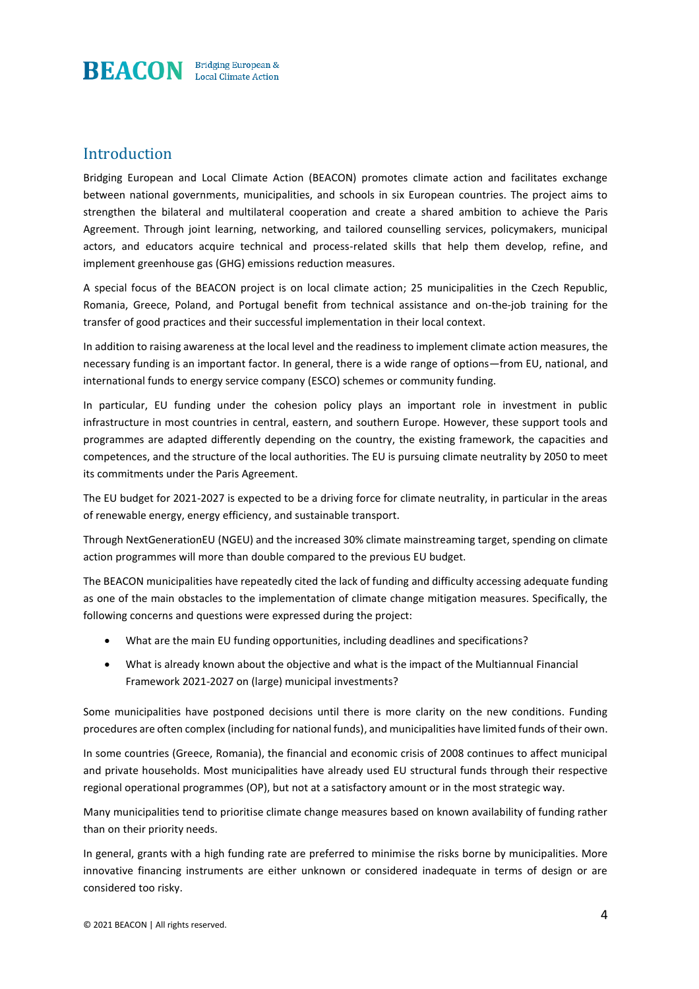

# Introduction

Bridging European and Local Climate Action (BEACON) promotes climate action and facilitates exchange between national governments, municipalities, and schools in six European countries. The project aims to strengthen the bilateral and multilateral cooperation and create a shared ambition to achieve the Paris Agreement. Through joint learning, networking, and tailored counselling services, policymakers, municipal actors, and educators acquire technical and process-related skills that help them develop, refine, and implement greenhouse gas (GHG) emissions reduction measures.

A special focus of the BEACON project is on local climate action; 25 municipalities in the Czech Republic, Romania, Greece, Poland, and Portugal benefit from technical assistance and on-the-job training for the transfer of good practices and their successful implementation in their local context.

In addition to raising awareness at the local level and the readiness to implement climate action measures, the necessary funding is an important factor. In general, there is a wide range of options—from EU, national, and international funds to energy service company (ESCO) schemes or community funding.

In particular, EU funding under the cohesion policy plays an important role in investment in public infrastructure in most countries in central, eastern, and southern Europe. However, these support tools and programmes are adapted differently depending on the country, the existing framework, the capacities and competences, and the structure of the local authorities. The EU is pursuing climate neutrality by 2050 to meet its commitments under the Paris Agreement.

The EU budget for 2021-2027 is expected to be a driving force for climate neutrality, in particular in the areas of renewable energy, energy efficiency, and sustainable transport.

Through NextGenerationEU (NGEU) and the increased 30% climate mainstreaming target, spending on climate action programmes will more than double compared to the previous EU budget.

The BEACON municipalities have repeatedly cited the lack of funding and difficulty accessing adequate funding as one of the main obstacles to the implementation of climate change mitigation measures. Specifically, the following concerns and questions were expressed during the project:

- What are the main EU funding opportunities, including deadlines and specifications?
- What is already known about the objective and what is the impact of the Multiannual Financial Framework 2021-2027 on (large) municipal investments?

Some municipalities have postponed decisions until there is more clarity on the new conditions. Funding procedures are often complex (including for national funds), and municipalities have limited funds of their own.

In some countries (Greece, Romania), the financial and economic crisis of 2008 continues to affect municipal and private households. Most municipalities have already used EU structural funds through their respective regional operational programmes (OP), but not at a satisfactory amount or in the most strategic way.

Many municipalities tend to prioritise climate change measures based on known availability of funding rather than on their priority needs.

In general, grants with a high funding rate are preferred to minimise the risks borne by municipalities. More innovative financing instruments are either unknown or considered inadequate in terms of design or are considered too risky.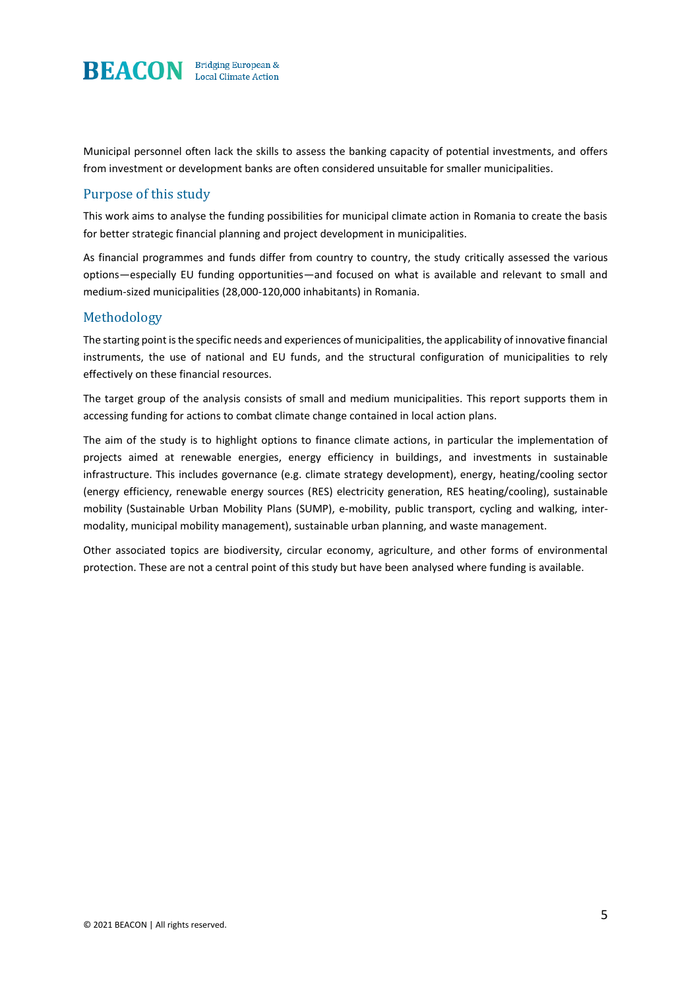

Municipal personnel often lack the skills to assess the banking capacity of potential investments, and offers from investment or development banks are often considered unsuitable for smaller municipalities.

### Purpose of this study

This work aims to analyse the funding possibilities for municipal climate action in Romania to create the basis for better strategic financial planning and project development in municipalities.

As financial programmes and funds differ from country to country, the study critically assessed the various options—especially EU funding opportunities—and focused on what is available and relevant to small and medium-sized municipalities (28,000-120,000 inhabitants) in Romania.

#### Methodology

The starting point is the specific needs and experiences of municipalities, the applicability of innovative financial instruments, the use of national and EU funds, and the structural configuration of municipalities to rely effectively on these financial resources.

The target group of the analysis consists of small and medium municipalities. This report supports them in accessing funding for actions to combat climate change contained in local action plans.

The aim of the study is to highlight options to finance climate actions, in particular the implementation of projects aimed at renewable energies, energy efficiency in buildings, and investments in sustainable infrastructure. This includes governance (e.g. climate strategy development), energy, heating/cooling sector (energy efficiency, renewable energy sources (RES) electricity generation, RES heating/cooling), sustainable mobility (Sustainable Urban Mobility Plans (SUMP), e-mobility, public transport, cycling and walking, intermodality, municipal mobility management), sustainable urban planning, and waste management.

Other associated topics are biodiversity, circular economy, agriculture, and other forms of environmental protection. These are not a central point of this study but have been analysed where funding is available.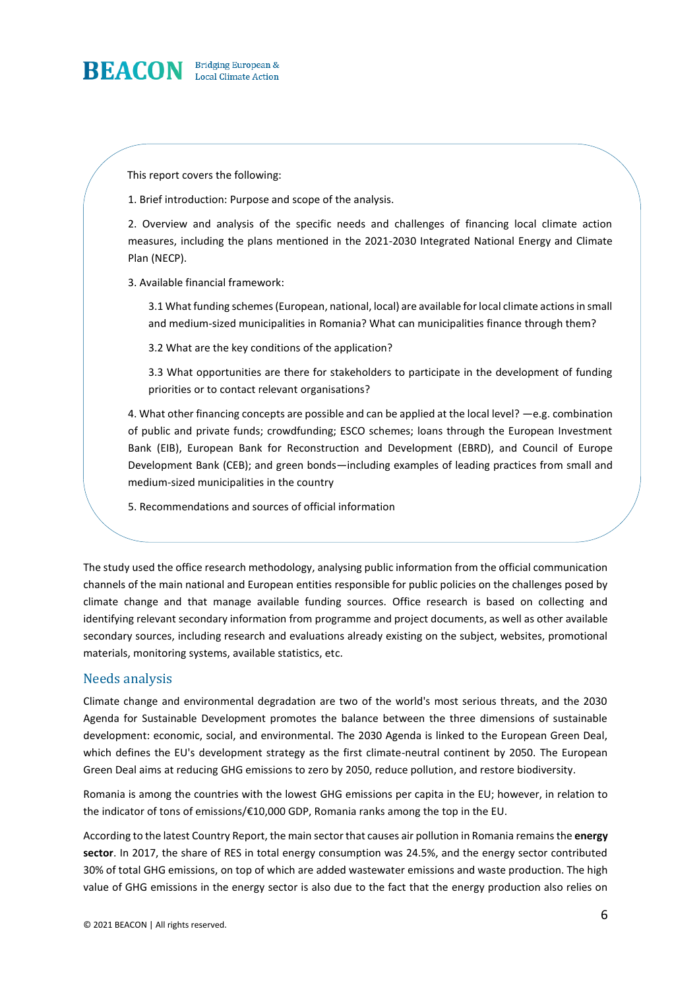

This report covers the following:

1. Brief introduction: Purpose and scope of the analysis.

2. Overview and analysis of the specific needs and challenges of financing local climate action measures, including the plans mentioned in the 2021-2030 Integrated National Energy and Climate Plan (NECP).

3. Available financial framework:

3.1 What funding schemes (European, national, local) are available for local climate actions in small and medium-sized municipalities in Romania? What can municipalities finance through them?

3.2 What are the key conditions of the application?

3.3 What opportunities are there for stakeholders to participate in the development of funding priorities or to contact relevant organisations?

4. What other financing concepts are possible and can be applied at the local level? —e.g. combination of public and private funds; crowdfunding; ESCO schemes; loans through the European Investment Bank (EIB), European Bank for Reconstruction and Development (EBRD), and Council of Europe Development Bank (CEB); and green bonds—including examples of leading practices from small and medium-sized municipalities in the country

5. Recommendations and sources of official information

The study used the office research methodology, analysing public information from the official communication channels of the main national and European entities responsible for public policies on the challenges posed by climate change and that manage available funding sources. Office research is based on collecting and identifying relevant secondary information from programme and project documents, as well as other available secondary sources, including research and evaluations already existing on the subject, websites, promotional materials, monitoring systems, available statistics, etc.

### Needs analysis

Climate change and environmental degradation are two of the world's most serious threats, and the 2030 Agenda for Sustainable Development promotes the balance between the three dimensions of sustainable development: economic, social, and environmental. The 2030 Agenda is linked to the European Green Deal, which defines the EU's development strategy as the first climate-neutral continent by 2050. The European Green Deal aims at reducing GHG emissions to zero by 2050, reduce pollution, and restore biodiversity.

Romania is among the countries with the lowest GHG emissions per capita in the EU; however, in relation to the indicator of tons of emissions/€10,000 GDP, Romania ranks among the top in the EU.

According to the latest Country Report, the main sector that causes air pollution in Romania remains the **energy sector**. In 2017, the share of RES in total energy consumption was 24.5%, and the energy sector contributed 30% of total GHG emissions, on top of which are added wastewater emissions and waste production. The high value of GHG emissions in the energy sector is also due to the fact that the energy production also relies on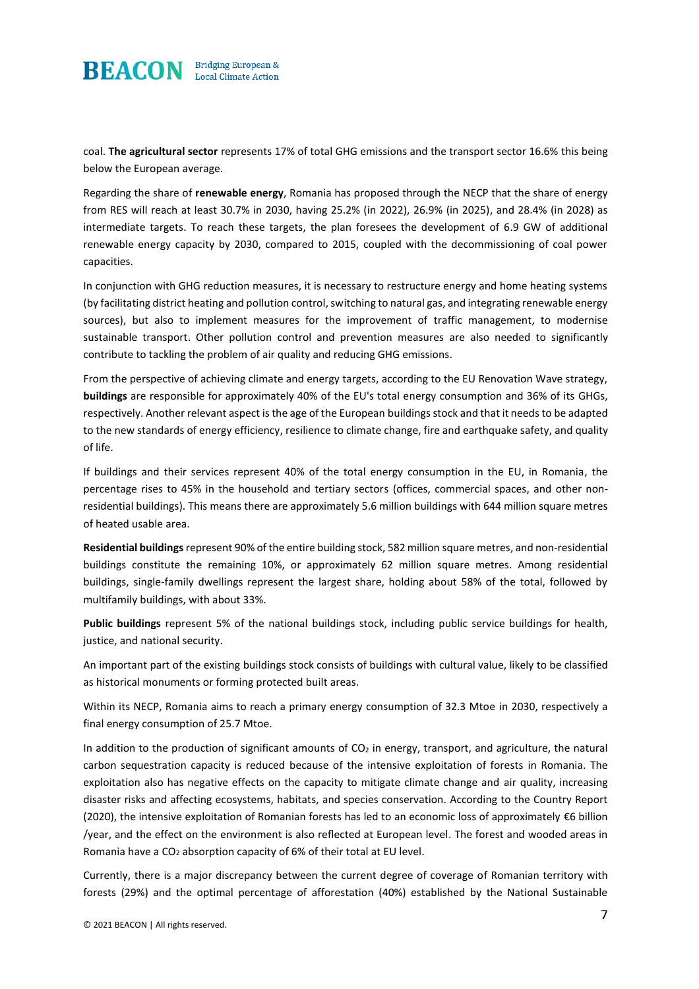

coal. **The agricultural sector** represents 17% of total GHG emissions and the transport sector 16.6% this being below the European average.

Regarding the share of **renewable energy**, Romania has proposed through the NECP that the share of energy from RES will reach at least 30.7% in 2030, having 25.2% (in 2022), 26.9% (in 2025), and 28.4% (in 2028) as intermediate targets. To reach these targets, the plan foresees the development of 6.9 GW of additional renewable energy capacity by 2030, compared to 2015, coupled with the decommissioning of coal power capacities.

In conjunction with GHG reduction measures, it is necessary to restructure energy and home heating systems (by facilitating district heating and pollution control, switching to natural gas, and integrating renewable energy sources), but also to implement measures for the improvement of traffic management, to modernise sustainable transport. Other pollution control and prevention measures are also needed to significantly contribute to tackling the problem of air quality and reducing GHG emissions.

From the perspective of achieving climate and energy targets, according to the EU Renovation Wave strategy, **buildings** are responsible for approximately 40% of the EU's total energy consumption and 36% of its GHGs, respectively. Another relevant aspect is the age of the European buildings stock and that it needs to be adapted to the new standards of energy efficiency, resilience to climate change, fire and earthquake safety, and quality of life.

If buildings and their services represent 40% of the total energy consumption in the EU, in Romania, the percentage rises to 45% in the household and tertiary sectors (offices, commercial spaces, and other nonresidential buildings). This means there are approximately 5.6 million buildings with 644 million square metres of heated usable area.

**Residential buildings**represent 90% of the entire building stock, 582 million square metres, and non-residential buildings constitute the remaining 10%, or approximately 62 million square metres. Among residential buildings, single-family dwellings represent the largest share, holding about 58% of the total, followed by multifamily buildings, with about 33%.

**Public buildings** represent 5% of the national buildings stock, including public service buildings for health, justice, and national security.

An important part of the existing buildings stock consists of buildings with cultural value, likely to be classified as historical monuments or forming protected built areas.

Within its NECP, Romania aims to reach a primary energy consumption of 32.3 Mtoe in 2030, respectively a final energy consumption of 25.7 Mtoe.

In addition to the production of significant amounts of CO<sub>2</sub> in energy, transport, and agriculture, the natural carbon sequestration capacity is reduced because of the intensive exploitation of forests in Romania. The exploitation also has negative effects on the capacity to mitigate climate change and air quality, increasing disaster risks and affecting ecosystems, habitats, and species conservation. According to the Country Report (2020), the intensive exploitation of Romanian forests has led to an economic loss of approximately €6 billion /year, and the effect on the environment is also reflected at European level. The forest and wooded areas in Romania have a CO<sub>2</sub> absorption capacity of 6% of their total at EU level.

Currently, there is a major discrepancy between the current degree of coverage of Romanian territory with forests (29%) and the optimal percentage of afforestation (40%) established by the National Sustainable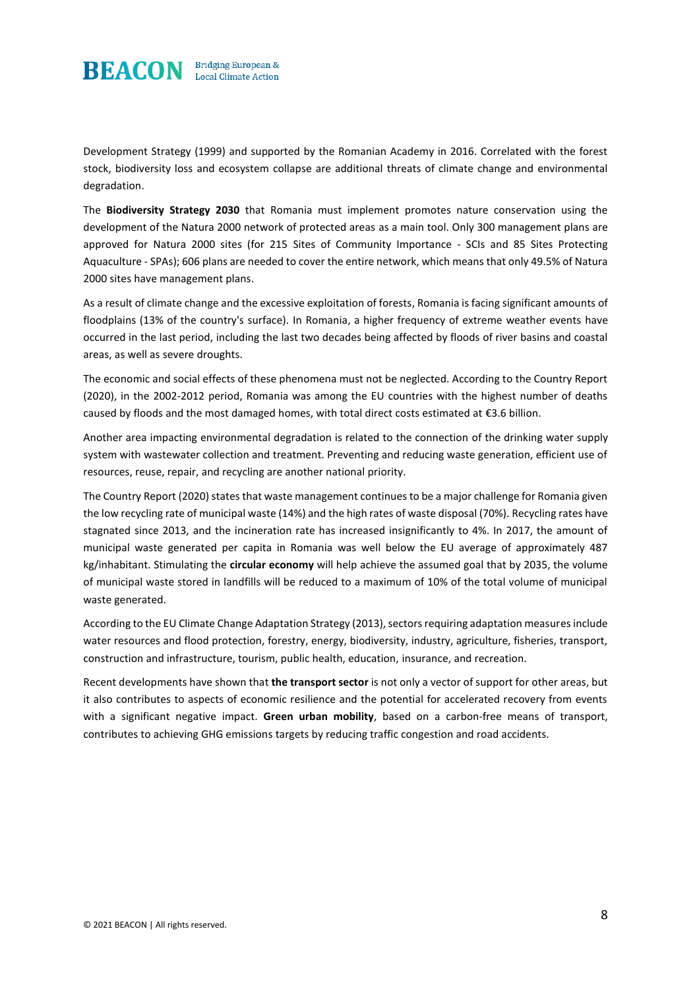

Development Strategy (1999) and supported by the Romanian Academy in 2016. Correlated with the forest stock, biodiversity loss and ecosystem collapse are additional threats of climate change and environmental degradation.

The **Biodiversity Strategy 2030** that Romania must implement promotes nature conservation using the development of the Natura 2000 network of protected areas as a main tool. Only 300 management plans are approved for Natura 2000 sites (for 215 Sites of Community Importance - SCIs and 85 Sites Protecting Aquaculture - SPAs); 606 plans are needed to cover the entire network, which means that only 49.5% of Natura 2000 sites have management plans.

As a result of climate change and the excessive exploitation of forests, Romania is facing significant amounts of floodplains (13% of the country's surface). In Romania, a higher frequency of extreme weather events have occurred in the last period, including the last two decades being affected by floods of river basins and coastal areas, as well as severe droughts.

The economic and social effects of these phenomena must not be neglected. According to the Country Report (2020), in the 2002-2012 period, Romania was among the EU countries with the highest number of deaths caused by floods and the most damaged homes, with total direct costs estimated at €3.6 billion.

Another area impacting environmental degradation is related to the connection of the drinking water supply system with wastewater collection and treatment. Preventing and reducing waste generation, efficient use of resources, reuse, repair, and recycling are another national priority.

The Country Report (2020) states that waste management continues to be a major challenge for Romania given the low recycling rate of municipal waste (14%) and the high rates of waste disposal (70%). Recycling rates have stagnated since 2013, and the incineration rate has increased insignificantly to 4%. In 2017, the amount of municipal waste generated per capita in Romania was well below the EU average of approximately 487 kg/inhabitant. Stimulating the **circular economy** will help achieve the assumed goal that by 2035, the volume of municipal waste stored in landfills will be reduced to a maximum of 10% of the total volume of municipal waste generated.

According to the EU Climate Change Adaptation Strategy (2013), sectors requiring adaptation measures include water resources and flood protection, forestry, energy, biodiversity, industry, agriculture, fisheries, transport, construction and infrastructure, tourism, public health, education, insurance, and recreation.

Recent developments have shown that **the transport sector** is not only a vector of support for other areas, but it also contributes to aspects of economic resilience and the potential for accelerated recovery from events with a significant negative impact. **Green urban mobility**, based on a carbon-free means of transport, contributes to achieving GHG emissions targets by reducing traffic congestion and road accidents.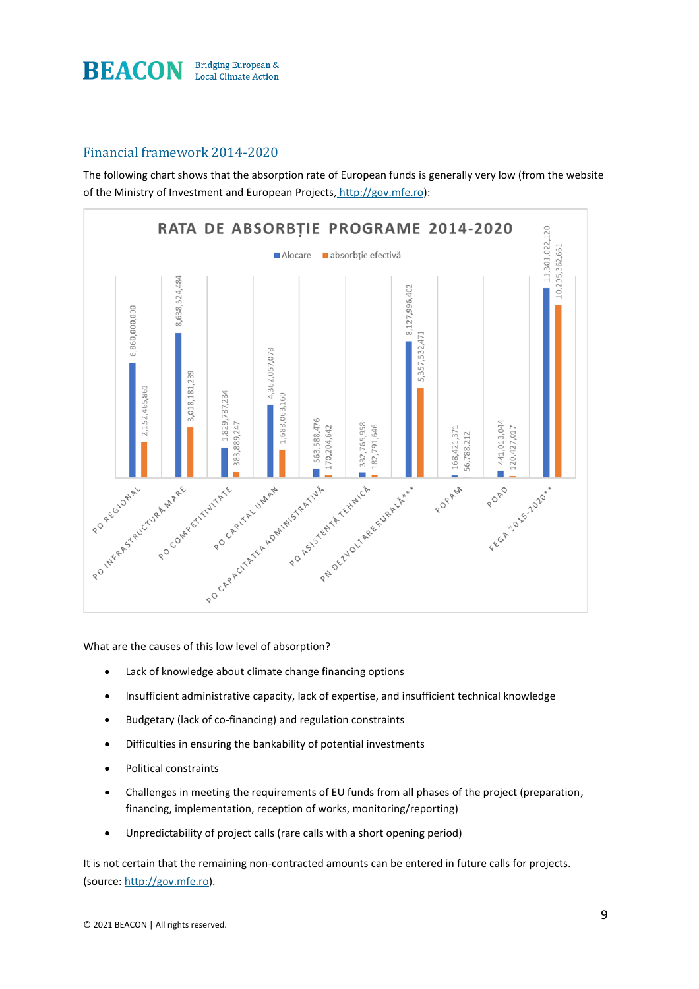

# Financial framework 2014-2020

The following chart shows that the absorption rate of European funds is generally very low (from the website of the Ministry of Investment and European Projects, [http://gov.mfe.ro\)](http://gov.mfe.ro/):



What are the causes of this low level of absorption?

- Lack of knowledge about climate change financing options
- Insufficient administrative capacity, lack of expertise, and insufficient technical knowledge
- Budgetary (lack of co-financing) and regulation constraints
- Difficulties in ensuring the bankability of potential investments
- Political constraints
- Challenges in meeting the requirements of EU funds from all phases of the project (preparation, financing, implementation, reception of works, monitoring/reporting)
- Unpredictability of project calls (rare calls with a short opening period)

It is not certain that the remaining non-contracted amounts can be entered in future calls for projects. (source: http://gov.mfe.ro).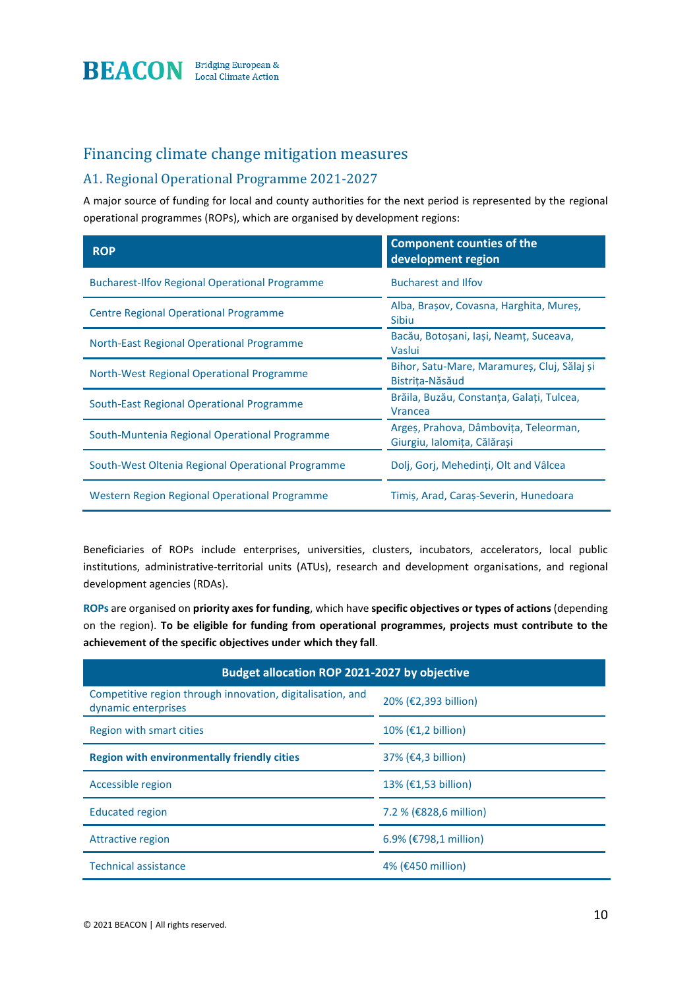

# Financing climate change mitigation measures

### A1. Regional Operational Programme 2021-2027

A major source of funding for local and county authorities for the next period is represented by the regional operational programmes (ROPs), which are organised by development regions:

| <b>ROP</b>                                            | <b>Component counties of the</b><br>development region               |
|-------------------------------------------------------|----------------------------------------------------------------------|
| <b>Bucharest-Ilfov Regional Operational Programme</b> | <b>Bucharest and Ilfov</b>                                           |
| Centre Regional Operational Programme                 | Alba, Brașov, Covasna, Harghita, Mureș,<br><b>Sibiu</b>              |
| North-East Regional Operational Programme             | Bacău, Botoșani, Iași, Neamț, Suceava,<br>Vaslui                     |
| North-West Regional Operational Programme             | Bihor, Satu-Mare, Maramureș, Cluj, Sălaj și<br>Bistrița-Năsăud       |
| South-East Regional Operational Programme             | Brăila, Buzău, Constanța, Galați, Tulcea,<br><b>Vrancea</b>          |
| South-Muntenia Regional Operational Programme         | Argeș, Prahova, Dâmbovița, Teleorman,<br>Giurgiu, Ialomița, Călărași |
| South-West Oltenia Regional Operational Programme     | Dolj, Gorj, Mehedinți, Olt and Vâlcea                                |
| Western Region Regional Operational Programme         | Timiş, Arad, Caraş-Severin, Hunedoara                                |

Beneficiaries of ROPs include enterprises, universities, clusters, incubators, accelerators, local public institutions, administrative-territorial units (ATUs), research and development organisations, and regional development agencies (RDAs).

**ROPs** are organised on **priority axes for funding**, which have **specific objectives or types of actions** (depending on the region). **To be eligible for funding from operational programmes, projects must contribute to the achievement of the specific objectives under which they fall**.

| <b>Budget allocation ROP 2021-2027 by objective</b>                               |                                  |  |
|-----------------------------------------------------------------------------------|----------------------------------|--|
| Competitive region through innovation, digitalisation, and<br>dynamic enterprises | 20% (€2,393 billion)             |  |
| Region with smart cities                                                          | $10\%$ ( $\epsilon$ 1,2 billion) |  |
| <b>Region with environmentally friendly cities</b>                                | $37\%$ ( $\epsilon$ 4,3 billion) |  |
| Accessible region                                                                 | 13% (€1,53 billion)              |  |
| <b>Educated region</b>                                                            | 7.2 % (€828,6 million)           |  |
| Attractive region                                                                 | $6.9\%$ (€798,1 million)         |  |
| <b>Technical assistance</b>                                                       | 4% (€450 million)                |  |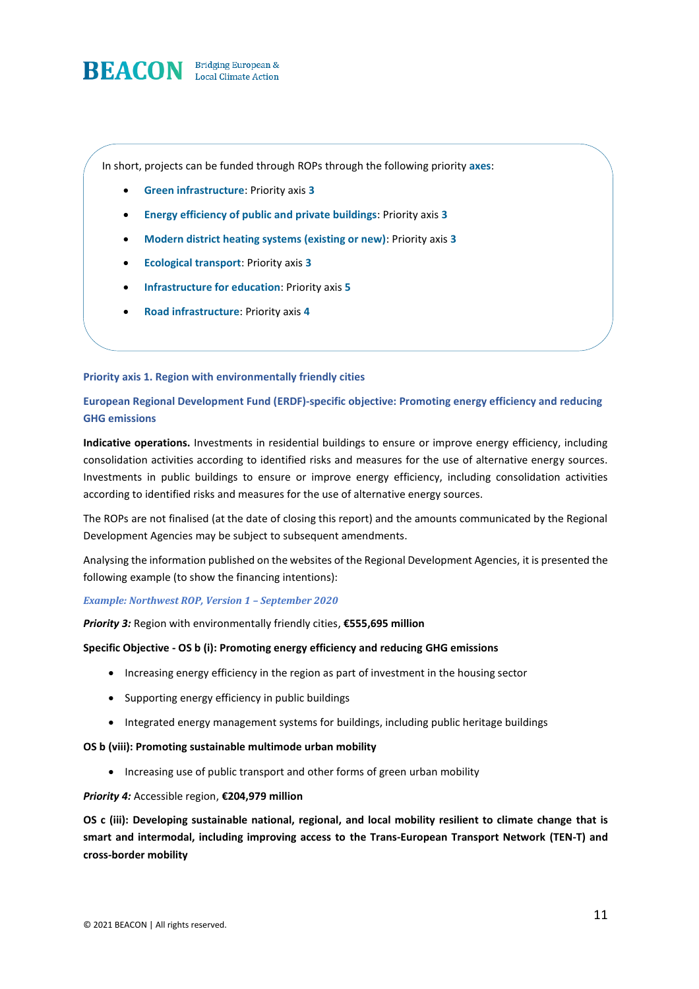

In short, projects can be funded through ROPs through the following priority **axes**:

- **Green infrastructure**: Priority axis **3**
- **Energy efficiency of public and private buildings**: Priority axis **3**
- **Modern district heating systems (existing or new)**: Priority axis **3**
- **Ecological transport**: Priority axis **3**
- **Infrastructure for education**: Priority axis **5**
- **Road infrastructure**: Priority axis **4**

#### **Priority axis 1. Region with environmentally friendly cities**

**European Regional Development Fund (ERDF)-specific objective: Promoting energy efficiency and reducing GHG emissions**

**Indicative operations.** Investments in residential buildings to ensure or improve energy efficiency, including consolidation activities according to identified risks and measures for the use of alternative energy sources. Investments in public buildings to ensure or improve energy efficiency, including consolidation activities according to identified risks and measures for the use of alternative energy sources.

The ROPs are not finalised (at the date of closing this report) and the amounts communicated by the Regional Development Agencies may be subject to subsequent amendments.

Analysing the information published on the websites of the Regional Development Agencies, it is presented the following example (to show the financing intentions):

#### *Example: Northwest ROP, Version 1 – September 2020*

*Priority 3:* Region with environmentally friendly cities, **€555,695 million**

#### **Specific Objective - OS b (i): Promoting energy efficiency and reducing GHG emissions**

- Increasing energy efficiency in the region as part of investment in the housing sector
- Supporting energy efficiency in public buildings
- Integrated energy management systems for buildings, including public heritage buildings

#### **OS b (viii): Promoting sustainable multimode urban mobility**

• Increasing use of public transport and other forms of green urban mobility

#### *Priority 4:* Accessible region, **€204,979 million**

**OS c (iii): Developing sustainable national, regional, and local mobility resilient to climate change that is smart and intermodal, including improving access to the Trans-European Transport Network (TEN-T) and cross-border mobility**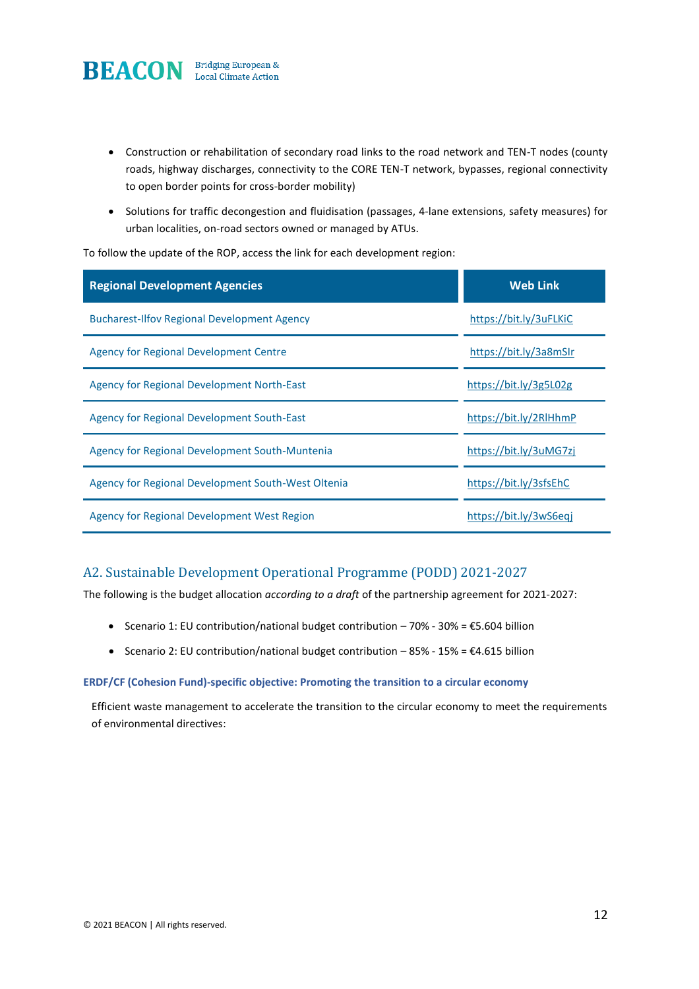

- Construction or rehabilitation of secondary road links to the road network and TEN-T nodes (county roads, highway discharges, connectivity to the CORE TEN-T network, bypasses, regional connectivity to open border points for cross-border mobility)
- Solutions for traffic decongestion and fluidisation (passages, 4-lane extensions, safety measures) for urban localities, on-road sectors owned or managed by ATUs.

To follow the update of the ROP, access the link for each development region:

| <b>Regional Development Agencies</b>               | <b>Web Link</b>        |
|----------------------------------------------------|------------------------|
| <b>Bucharest-Ilfov Regional Development Agency</b> | https://bit.ly/3uFLKiC |
| Agency for Regional Development Centre             | https://bit.ly/3a8mSIr |
| Agency for Regional Development North-East         | https://bit.ly/3g5L02g |
| Agency for Regional Development South-East         | https://bit.ly/2RlHhmP |
| Agency for Regional Development South-Muntenia     | https://bit.ly/3uMG7zj |
| Agency for Regional Development South-West Oltenia | https://bit.ly/3sfsEhC |
| Agency for Regional Development West Region        | https://bit.ly/3wS6eqj |

# A2. Sustainable Development Operational Programme (PODD) 2021-2027

The following is the budget allocation *according to a draft* of the partnership agreement for 2021-2027:

- Scenario 1: EU contribution/national budget contribution 70% 30% =  $$5.604$  billion
- Scenario 2: EU contribution/national budget contribution 85% 15% =  $\epsilon$ 4.615 billion

#### **ERDF/CF (Cohesion Fund)-specific objective: Promoting the transition to a circular economy**

Efficient waste management to accelerate the transition to the circular economy to meet the requirements of environmental directives: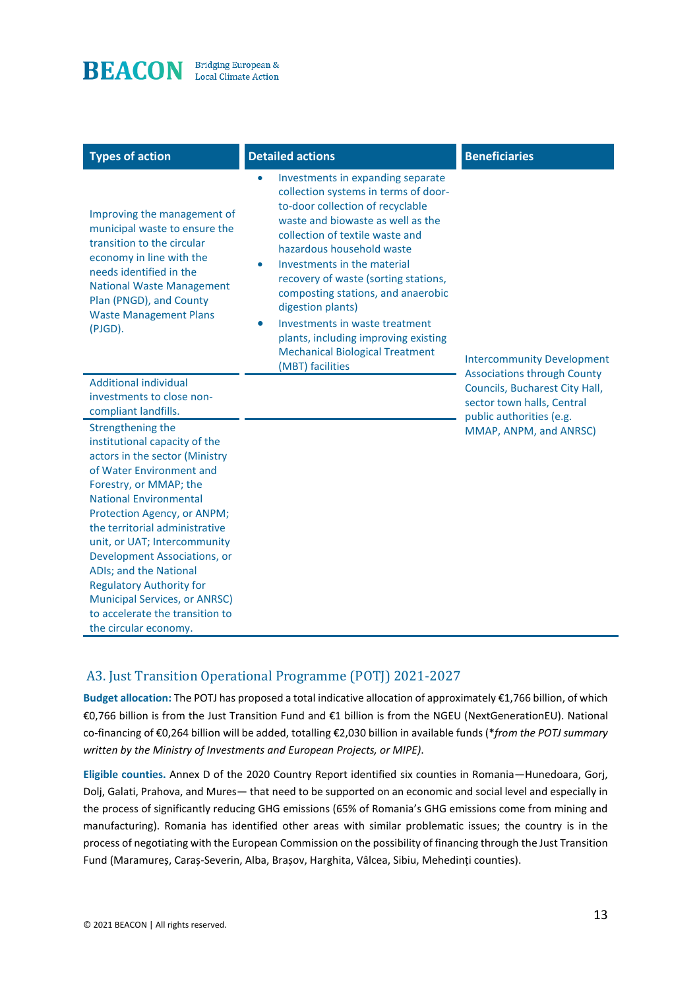

| <b>Types of action</b>                                                                                                                                                                                                                                                                                                                                                                                                                                                        | <b>Detailed actions</b>                                                                                                                                                                                                                                                                                                                                                                                                                                                                                        | <b>Beneficiaries</b>                                                                                                           |
|-------------------------------------------------------------------------------------------------------------------------------------------------------------------------------------------------------------------------------------------------------------------------------------------------------------------------------------------------------------------------------------------------------------------------------------------------------------------------------|----------------------------------------------------------------------------------------------------------------------------------------------------------------------------------------------------------------------------------------------------------------------------------------------------------------------------------------------------------------------------------------------------------------------------------------------------------------------------------------------------------------|--------------------------------------------------------------------------------------------------------------------------------|
| Improving the management of<br>municipal waste to ensure the<br>transition to the circular<br>economy in line with the<br>needs identified in the<br><b>National Waste Management</b><br>Plan (PNGD), and County<br><b>Waste Management Plans</b><br>(PJGD).                                                                                                                                                                                                                  | Investments in expanding separate<br>collection systems in terms of door-<br>to-door collection of recyclable<br>waste and biowaste as well as the<br>collection of textile waste and<br>hazardous household waste<br>Investments in the material<br>۰<br>recovery of waste (sorting stations,<br>composting stations, and anaerobic<br>digestion plants)<br>Investments in waste treatment<br>$\bullet$<br>plants, including improving existing<br><b>Mechanical Biological Treatment</b><br>(MBT) facilities | <b>Intercommunity Development</b>                                                                                              |
| <b>Additional individual</b><br>investments to close non-<br>compliant landfills.                                                                                                                                                                                                                                                                                                                                                                                             |                                                                                                                                                                                                                                                                                                                                                                                                                                                                                                                | <b>Associations through County</b><br>Councils, Bucharest City Hall,<br>sector town halls, Central<br>public authorities (e.g. |
| Strengthening the<br>institutional capacity of the<br>actors in the sector (Ministry<br>of Water Environment and<br>Forestry, or MMAP; the<br><b>National Environmental</b><br>Protection Agency, or ANPM;<br>the territorial administrative<br>unit, or UAT; Intercommunity<br>Development Associations, or<br>ADIs; and the National<br><b>Regulatory Authority for</b><br><b>Municipal Services, or ANRSC)</b><br>to accelerate the transition to<br>the circular economy. |                                                                                                                                                                                                                                                                                                                                                                                                                                                                                                                | MMAP, ANPM, and ANRSC)                                                                                                         |

# A3. Just Transition Operational Programme (POTJ) 2021-2027

**Budget allocation:** The POTJ has proposed a total indicative allocation of approximately €1,766 billion, of which €0,766 billion is from the Just Transition Fund and €1 billion is from the NGEU (NextGenerationEU). National co-financing of €0,264 billion will be added, totalling €2,030 billion in available funds (\**from the POTJ summary written by the Ministry of Investments and European Projects, or MIPE)*.

**Eligible counties.** Annex D of the 2020 Country Report identified six counties in Romania—Hunedoara, Gorj, Dolj, Galati, Prahova, and Mures— that need to be supported on an economic and social level and especially in the process of significantly reducing GHG emissions (65% of Romania's GHG emissions come from mining and manufacturing). Romania has identified other areas with similar problematic issues; the country is in the process of negotiating with the European Commission on the possibility of financing through the Just Transition Fund (Maramureș, Caraș-Severin, Alba, Brașov, Harghita, Vâlcea, Sibiu, Mehedinți counties).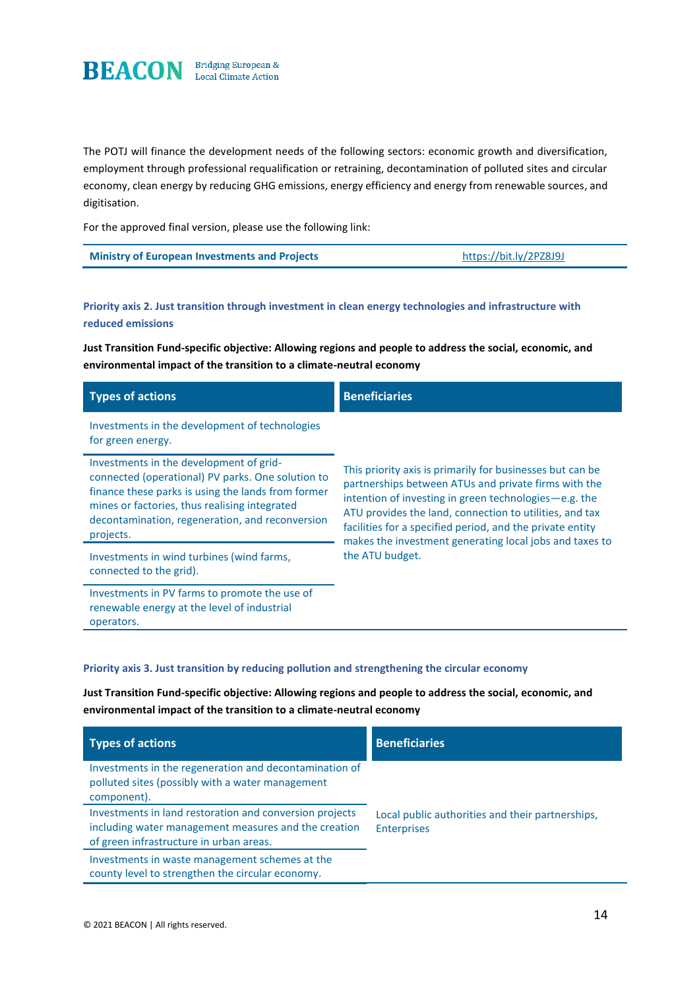

The POTJ will finance the development needs of the following sectors: economic growth and diversification, employment through professional requalification or retraining, decontamination of polluted sites and circular economy, clean energy by reducing GHG emissions, energy efficiency and energy from renewable sources, and digitisation.

For the approved final version, please use the following link:

| https://bit.ly/2PZ8J9J<br><b>Ministry of European Investments and Projects</b> |
|--------------------------------------------------------------------------------|
|--------------------------------------------------------------------------------|

### **Priority axis 2. Just transition through investment in clean energy technologies and infrastructure with reduced emissions**

**Just Transition Fund-specific objective: Allowing regions and people to address the social, economic, and environmental impact of the transition to a climate-neutral economy**

| <b>Types of actions</b>                                                                                                                                                                                                                                             | <b>Beneficiaries</b>                                                                                                                                                                                                                                                                                  |
|---------------------------------------------------------------------------------------------------------------------------------------------------------------------------------------------------------------------------------------------------------------------|-------------------------------------------------------------------------------------------------------------------------------------------------------------------------------------------------------------------------------------------------------------------------------------------------------|
| Investments in the development of technologies<br>for green energy.                                                                                                                                                                                                 |                                                                                                                                                                                                                                                                                                       |
| Investments in the development of grid-<br>connected (operational) PV parks. One solution to<br>finance these parks is using the lands from former<br>mines or factories, thus realising integrated<br>decontamination, regeneration, and reconversion<br>projects. | This priority axis is primarily for businesses but can be<br>partnerships between ATUs and private firms with the<br>intention of investing in green technologies $-e.g.$ the<br>ATU provides the land, connection to utilities, and tax<br>facilities for a specified period, and the private entity |
| Investments in wind turbines (wind farms,<br>connected to the grid).                                                                                                                                                                                                | makes the investment generating local jobs and taxes to<br>the ATU budget.                                                                                                                                                                                                                            |
| Investments in PV farms to promote the use of<br>renewable energy at the level of industrial                                                                                                                                                                        |                                                                                                                                                                                                                                                                                                       |

#### **Priority axis 3. Just transition by reducing pollution and strengthening the circular economy**

**Just Transition Fund-specific objective: Allowing regions and people to address the social, economic, and environmental impact of the transition to a climate-neutral economy**

| <b>Types of actions</b>                                                                                                                                    | <b>Beneficiaries</b>                                                   |
|------------------------------------------------------------------------------------------------------------------------------------------------------------|------------------------------------------------------------------------|
| Investments in the regeneration and decontamination of<br>polluted sites (possibly with a water management<br>component).                                  |                                                                        |
| Investments in land restoration and conversion projects<br>including water management measures and the creation<br>of green infrastructure in urban areas. | Local public authorities and their partnerships,<br><b>Enterprises</b> |
| Investments in waste management schemes at the<br>county level to strengthen the circular economy.                                                         |                                                                        |

operators.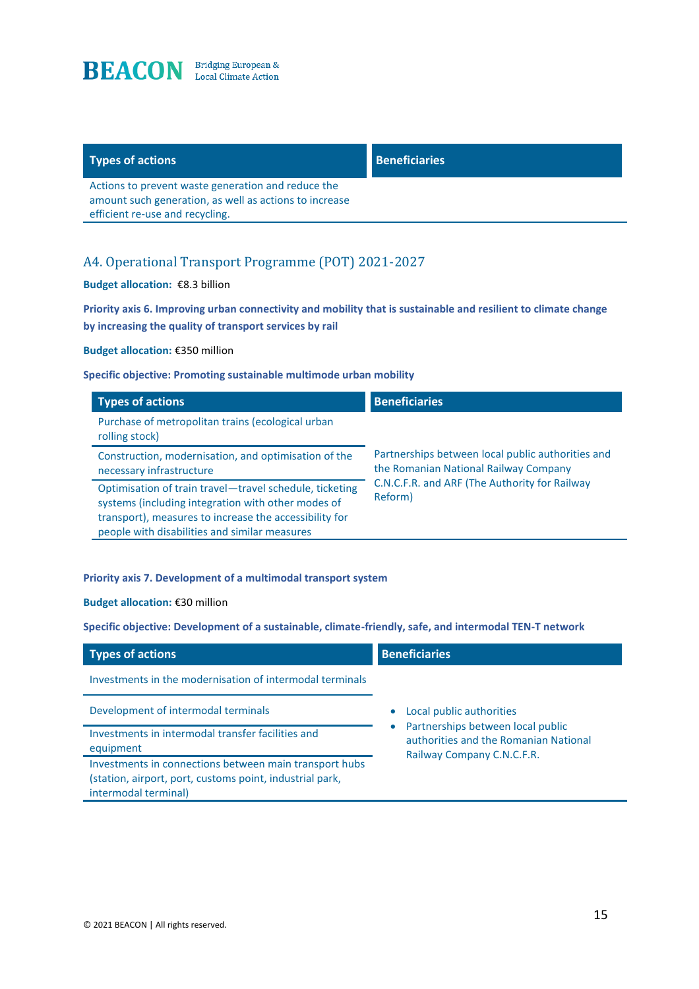

## **Types of actions Beneficiaries**

Actions to prevent waste generation and reduce the amount such generation, as well as actions to increase efficient re-use and recycling.

## A4. Operational Transport Programme (POT) 2021-2027

#### **Budget allocation:** €8.3 billion

**Priority axis 6. Improving urban connectivity and mobility that is sustainable and resilient to climate change by increasing the quality of transport services by rail** 

**Budget allocation:** €350 million

#### **Specific objective: Promoting sustainable multimode urban mobility**

| <b>Types of actions</b>                                                                                                                                                                                                  | <b>Beneficiaries</b>                                                                       |
|--------------------------------------------------------------------------------------------------------------------------------------------------------------------------------------------------------------------------|--------------------------------------------------------------------------------------------|
| Purchase of metropolitan trains (ecological urban<br>rolling stock)                                                                                                                                                      |                                                                                            |
| Construction, modernisation, and optimisation of the<br>necessary infrastructure                                                                                                                                         | Partnerships between local public authorities and<br>the Romanian National Railway Company |
| Optimisation of train travel-travel schedule, ticketing<br>systems (including integration with other modes of<br>transport), measures to increase the accessibility for<br>people with disabilities and similar measures | C.N.C.F.R. and ARF (The Authority for Railway<br>Reform)                                   |

#### **Priority axis 7. Development of a multimodal transport system**

#### **Budget allocation:** €30 million

**Specific objective: Development of a sustainable, climate-friendly, safe, and intermodal TEN-T network** 

| <b>Types of actions</b>                                                                                                                    | <b>Beneficiaries</b>                                                                                     |
|--------------------------------------------------------------------------------------------------------------------------------------------|----------------------------------------------------------------------------------------------------------|
| Investments in the modernisation of intermodal terminals                                                                                   |                                                                                                          |
| Development of intermodal terminals                                                                                                        | Local public authorities                                                                                 |
| Investments in intermodal transfer facilities and<br>equipment                                                                             | Partnerships between local public<br>authorities and the Romanian National<br>Railway Company C.N.C.F.R. |
| Investments in connections between main transport hubs<br>(station, airport, port, customs point, industrial park,<br>intermodal terminal) |                                                                                                          |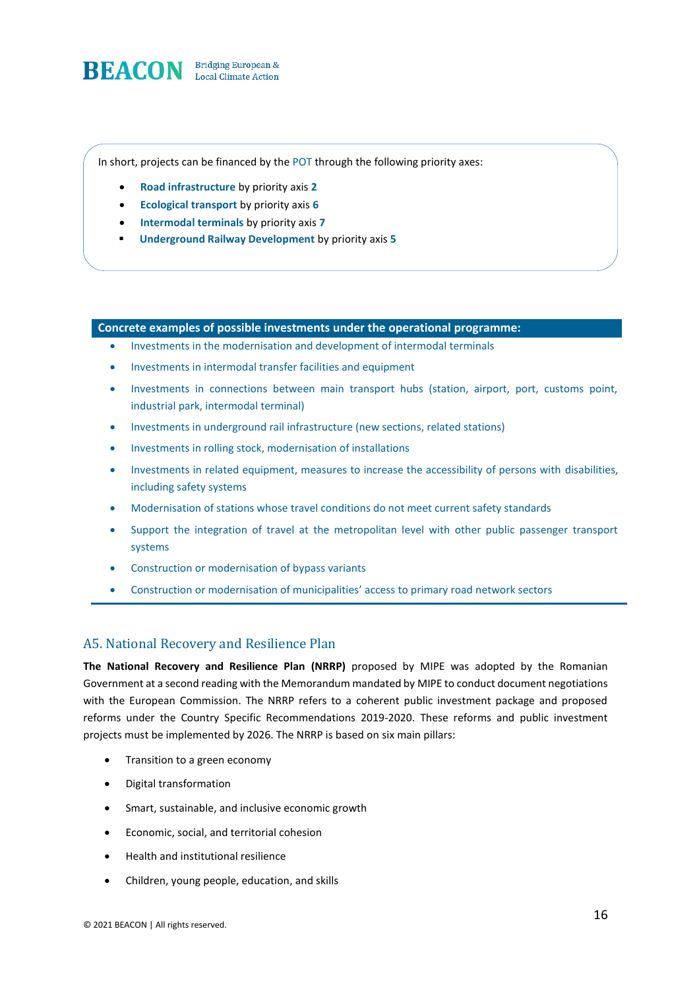

In short, projects can be financed by the POT through the following priority axes:

- **Road infrastructure** by priority axis **2**
- **Ecological transport** by priority axis **6**
- **Intermodal terminals** by priority axis **7**
- **Underground Railway Development** by priority axis **5**

#### **Concrete examples of possible investments under the operational programme:**

- Investments in the modernisation and development of intermodal terminals
- Investments in intermodal transfer facilities and equipment
- Investments in connections between main transport hubs (station, airport, port, customs point, industrial park, intermodal terminal)
- Investments in underground rail infrastructure (new sections, related stations)
- Investments in rolling stock, modernisation of installations
- Investments in related equipment, measures to increase the accessibility of persons with disabilities, including safety systems
- Modernisation of stations whose travel conditions do not meet current safety standards
- Support the integration of travel at the metropolitan level with other public passenger transport systems
- Construction or modernisation of bypass variants
- Construction or modernisation of municipalities' access to primary road network sectors

### A5. National Recovery and Resilience Plan

**The National Recovery and Resilience Plan (NRRP)** proposed by MIPE was adopted by the Romanian Government at a second reading with the Memorandum mandated by MIPE to conduct document negotiations with the European Commission. The NRRP refers to a coherent public investment package and proposed reforms under the Country Specific Recommendations 2019-2020. These reforms and public investment projects must be implemented by 2026. The NRRP is based on six main pillars:

- Transition to a green economy
- Digital transformation
- Smart, sustainable, and inclusive economic growth
- Economic, social, and territorial cohesion
- Health and institutional resilience
- Children, young people, education, and skills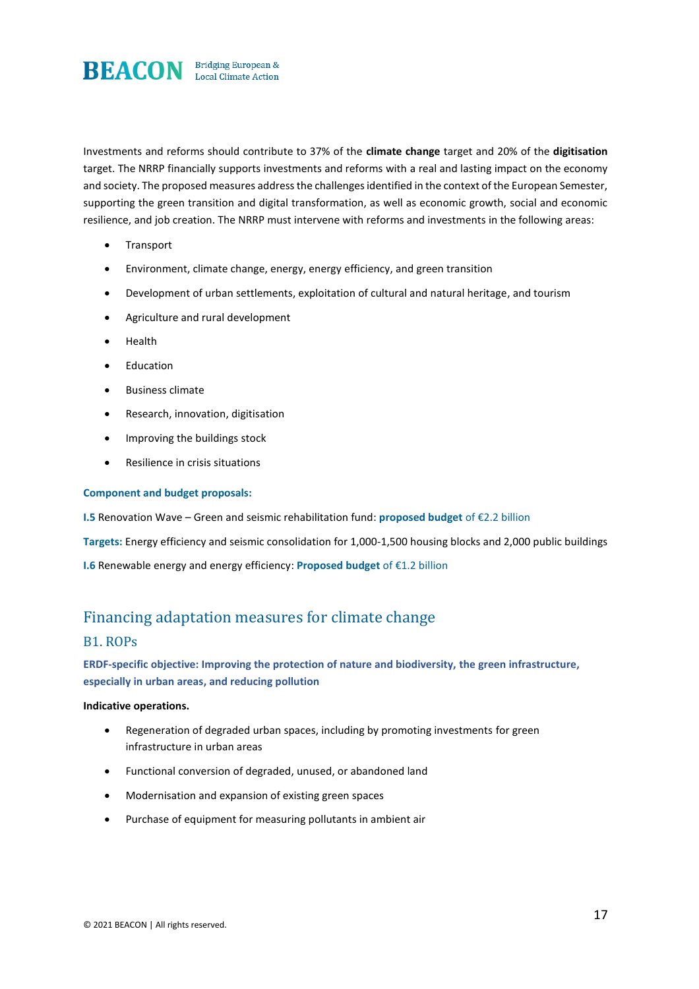

Investments and reforms should contribute to 37% of the **climate change** target and 20% of the **digitisation**  target. The NRRP financially supports investments and reforms with a real and lasting impact on the economy and society. The proposed measures address the challenges identified in the context of the European Semester, supporting the green transition and digital transformation, as well as economic growth, social and economic resilience, and job creation. The NRRP must intervene with reforms and investments in the following areas:

- Transport
- Environment, climate change, energy, energy efficiency, and green transition
- Development of urban settlements, exploitation of cultural and natural heritage, and tourism
- Agriculture and rural development
- Health
- Education
- Business climate
- Research, innovation, digitisation
- Improving the buildings stock
- Resilience in crisis situations

#### **Component and budget proposals:**

**I.5** Renovation Wave – Green and seismic rehabilitation fund: **proposed budget** of €2.2 billion

**Targets:** Energy efficiency and seismic consolidation for 1,000-1,500 housing blocks and 2,000 public buildings

**I.6** Renewable energy and energy efficiency: **Proposed budget** of €1.2 billion

# Financing adaptation measures for climate change

### B1. ROPs

**ERDF-specific objective: Improving the protection of nature and biodiversity, the green infrastructure, especially in urban areas, and reducing pollution** 

#### **Indicative operations.**

- Regeneration of degraded urban spaces, including by promoting investments for green infrastructure in urban areas
- Functional conversion of degraded, unused, or abandoned land
- Modernisation and expansion of existing green spaces
- Purchase of equipment for measuring pollutants in ambient air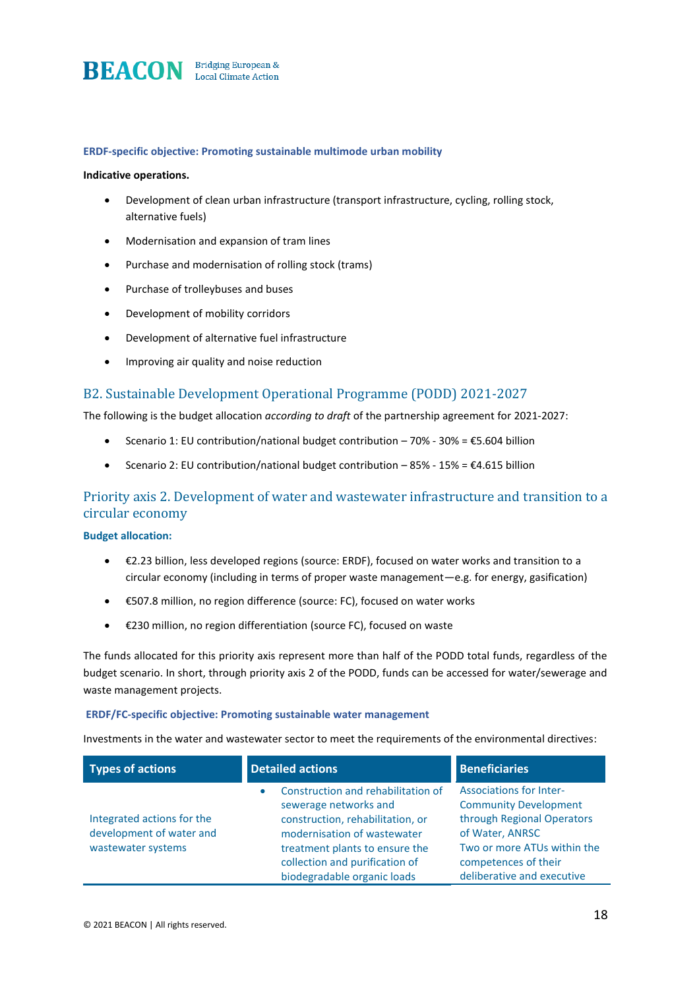

#### **ERDF-specific objective: Promoting sustainable multimode urban mobility**

#### **Indicative operations.**

- Development of clean urban infrastructure (transport infrastructure, cycling, rolling stock, alternative fuels)
- Modernisation and expansion of tram lines
- Purchase and modernisation of rolling stock (trams)
- Purchase of trolleybuses and buses
- Development of mobility corridors
- Development of alternative fuel infrastructure
- Improving air quality and noise reduction

### B2. Sustainable Development Operational Programme (PODD) 2021-2027

The following is the budget allocation *according to draft* of the partnership agreement for 2021-2027:

- Scenario 1: EU contribution/national budget contribution 70% 30% = €5.604 billion
- Scenario 2: EU contribution/national budget contribution  $-85% 15% = \text{\textsterling}4.615$  billion

### Priority axis 2. Development of water and wastewater infrastructure and transition to a circular economy

#### **Budget allocation:**

- €2.23 billion, less developed regions (source: ERDF), focused on water works and transition to a circular economy (including in terms of proper waste management—e.g. for energy, gasification)
- €507.8 million, no region difference (source: FC), focused on water works
- €230 million, no region differentiation (source FC), focused on waste

The funds allocated for this priority axis represent more than half of the PODD total funds, regardless of the budget scenario. In short, through priority axis 2 of the PODD, funds can be accessed for water/sewerage and waste management projects.

#### **ERDF/FC-specific objective: Promoting sustainable water management**

Investments in the water and wastewater sector to meet the requirements of the environmental directives:

| <b>Types of actions</b>                                                      | <b>Detailed actions</b>                                                                                                                                                                                                                        | <b>Beneficiaries</b>                                                                                                                                                                                 |
|------------------------------------------------------------------------------|------------------------------------------------------------------------------------------------------------------------------------------------------------------------------------------------------------------------------------------------|------------------------------------------------------------------------------------------------------------------------------------------------------------------------------------------------------|
| Integrated actions for the<br>development of water and<br>wastewater systems | Construction and rehabilitation of<br>$\bullet$<br>sewerage networks and<br>construction, rehabilitation, or<br>modernisation of wastewater<br>treatment plants to ensure the<br>collection and purification of<br>biodegradable organic loads | <b>Associations for Inter-</b><br><b>Community Development</b><br>through Regional Operators<br>of Water, ANRSC<br>Two or more ATUs within the<br>competences of their<br>deliberative and executive |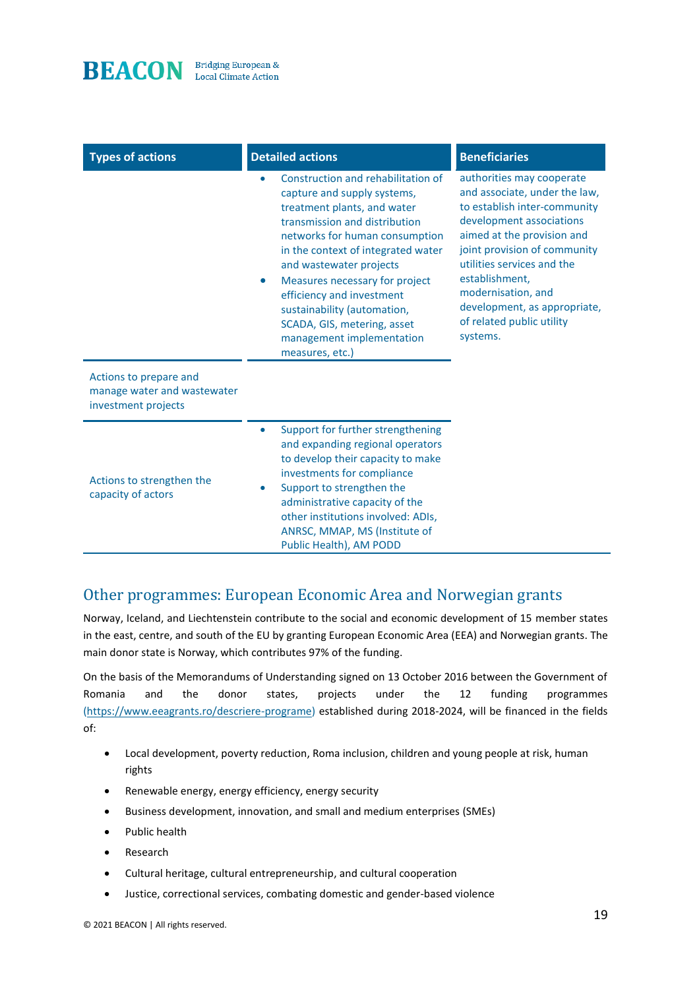

| <b>Types of actions</b>                                                      | <b>Detailed actions</b>                                                                                                                                                                                                                                                                                                                                                                                                             | <b>Beneficiaries</b>                                                                                                                                                                                                                                                                                                                |
|------------------------------------------------------------------------------|-------------------------------------------------------------------------------------------------------------------------------------------------------------------------------------------------------------------------------------------------------------------------------------------------------------------------------------------------------------------------------------------------------------------------------------|-------------------------------------------------------------------------------------------------------------------------------------------------------------------------------------------------------------------------------------------------------------------------------------------------------------------------------------|
|                                                                              | Construction and rehabilitation of<br>٠<br>capture and supply systems,<br>treatment plants, and water<br>transmission and distribution<br>networks for human consumption<br>in the context of integrated water<br>and wastewater projects<br>Measures necessary for project<br>$\bullet$<br>efficiency and investment<br>sustainability (automation,<br>SCADA, GIS, metering, asset<br>management implementation<br>measures, etc.) | authorities may cooperate<br>and associate, under the law,<br>to establish inter-community<br>development associations<br>aimed at the provision and<br>joint provision of community<br>utilities services and the<br>establishment,<br>modernisation, and<br>development, as appropriate,<br>of related public utility<br>systems. |
| Actions to prepare and<br>manage water and wastewater<br>investment projects |                                                                                                                                                                                                                                                                                                                                                                                                                                     |                                                                                                                                                                                                                                                                                                                                     |
| Actions to strengthen the<br>capacity of actors                              | Support for further strengthening<br>$\bullet$<br>and expanding regional operators<br>to develop their capacity to make<br>investments for compliance<br>Support to strengthen the<br>$\bullet$<br>administrative capacity of the<br>other institutions involved: ADIs,<br>ANRSC, MMAP, MS (Institute of<br>Public Health), AM PODD                                                                                                 |                                                                                                                                                                                                                                                                                                                                     |

# Other programmes: European Economic Area and Norwegian grants

Norway, Iceland, and Liechtenstein contribute to the social and economic development of 15 member states in the east, centre, and south of the EU by granting European Economic Area (EEA) and Norwegian grants. The main donor state is Norway, which contributes 97% of the funding.

On the basis of the Memorandums of Understanding signed on 13 October 2016 between the Government of Romania and the donor states, projects under the 12 funding programmes [\(https://www.eeagrants.ro/descriere-programe\)](https://www.eeagrants.ro/descriere-programe) established during 2018-2024, will be financed in the fields of:

- Local development, poverty reduction, Roma inclusion, children and young people at risk, human rights
- Renewable energy, energy efficiency, energy security
- Business development, innovation, and small and medium enterprises (SMEs)
- Public health
- Research
- Cultural heritage, cultural entrepreneurship, and cultural cooperation
- Justice, correctional services, combating domestic and gender-based violence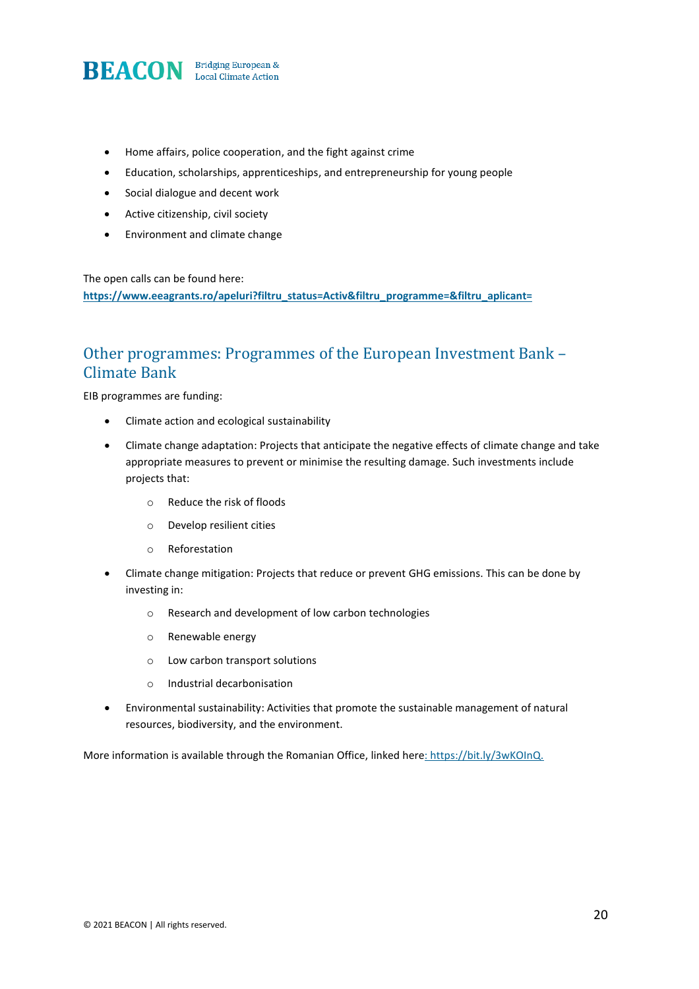

- Home affairs, police cooperation, and the fight against crime
- Education, scholarships, apprenticeships, and entrepreneurship for young people
- Social dialogue and decent work
- Active citizenship, civil society
- Environment and climate change

The open calls can be found here:

**[https://www.eeagrants.ro/apeluri?filtru\\_status=Activ&filtru\\_programme=&filtru\\_aplicant=](https://www.eeagrants.ro/apeluri?filtru_status=Activ&filtru_program=&filtru_aplicant=)**

# Other programmes: Programmes of the European Investment Bank – Climate Bank

EIB programmes are funding:

- Climate action and ecological sustainability
- Climate change adaptation: Projects that anticipate the negative effects of climate change and take appropriate measures to prevent or minimise the resulting damage. Such investments include projects that:
	- o Reduce the risk of floods
	- o Develop resilient cities
	- o Reforestation
- Climate change mitigation: Projects that reduce or prevent GHG emissions. This can be done by investing in:
	- o Research and development of low carbon technologies
	- o Renewable energy
	- o Low carbon transport solutions
	- o Industrial decarbonisation
- Environmental sustainability: Activities that promote the sustainable management of natural resources, biodiversity, and the environment.

More information is available through the Romanian Office, linked here: https://bit.ly/3wKOInQ.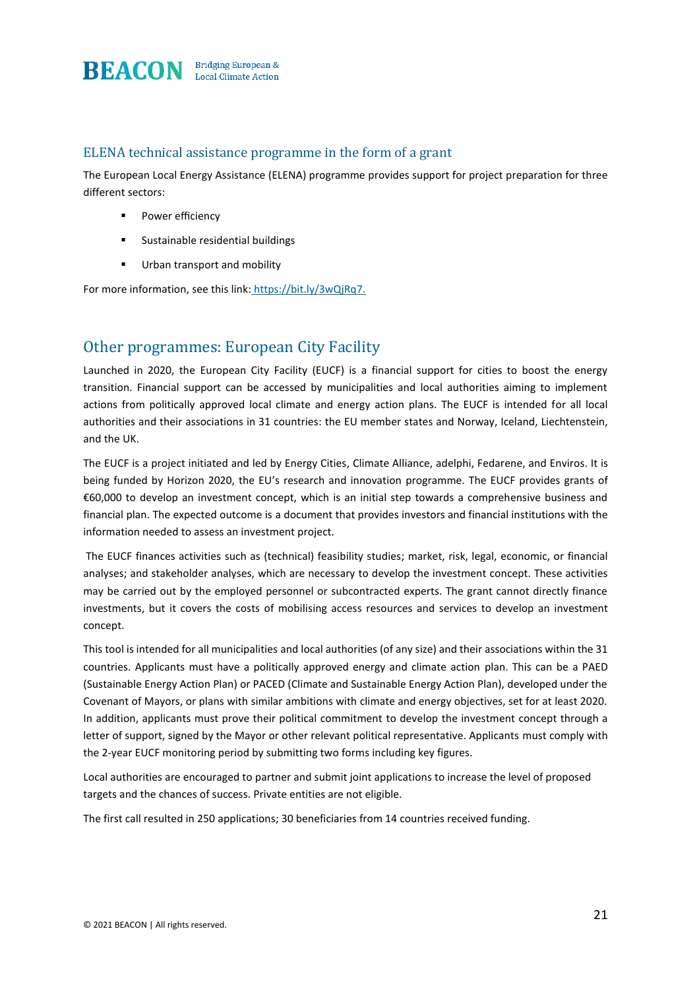

### ELENA technical assistance programme in the form of a grant

The European Local Energy Assistance (ELENA) programme provides support for project preparation for three different sectors:

- Power efficiency
- Sustainable residential buildings
- Urban transport and mobility

For more information, see this link: <https://bit.ly/3wQjRq7.>

# Other programmes: European City Facility

Launched in 2020, the European City Facility (EUCF) is a financial support for cities to boost the energy transition. Financial support can be accessed by municipalities and local authorities aiming to implement actions from politically approved local climate and energy action plans. The EUCF is intended for all local authorities and their associations in 31 countries: the EU member states and Norway, Iceland, Liechtenstein, and the UK.

The EUCF is a project initiated and led by Energy Cities, Climate Alliance, adelphi, Fedarene, and Enviros. It is being funded by Horizon 2020, the EU's research and innovation programme. The EUCF provides grants of €60,000 to develop an investment concept, which is an initial step towards a comprehensive business and financial plan. The expected outcome is a document that provides investors and financial institutions with the information needed to assess an investment project.

The EUCF finances activities such as (technical) feasibility studies; market, risk, legal, economic, or financial analyses; and stakeholder analyses, which are necessary to develop the investment concept. These activities may be carried out by the employed personnel or subcontracted experts. The grant cannot directly finance investments, but it covers the costs of mobilising access resources and services to develop an investment concept.

This tool is intended for all municipalities and local authorities (of any size) and their associations within the 31 countries. Applicants must have a politically approved energy and climate action plan. This can be a PAED (Sustainable Energy Action Plan) or PACED (Climate and Sustainable Energy Action Plan), developed under the Covenant of Mayors, or plans with similar ambitions with climate and energy objectives, set for at least 2020. In addition, applicants must prove their political commitment to develop the investment concept through a letter of support, signed by the Mayor or other relevant political representative. Applicants must comply with the 2-year EUCF monitoring period by submitting two forms including key figures.

Local authorities are encouraged to partner and submit joint applications to increase the level of proposed targets and the chances of success. Private entities are not eligible.

The first call resulted in 250 applications; 30 beneficiaries from 14 countries received funding.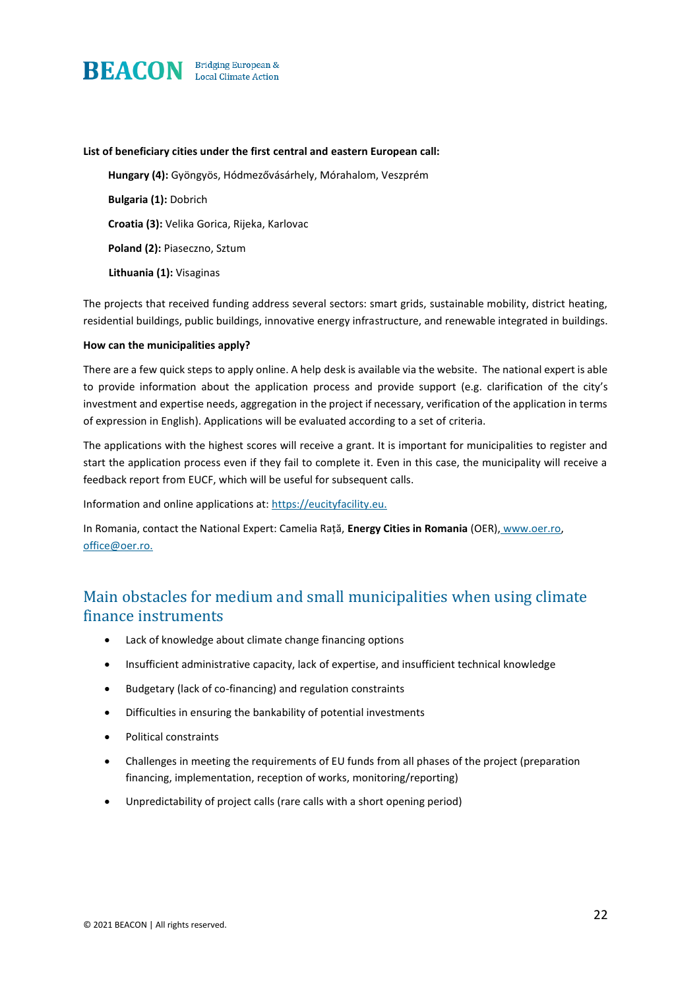

#### **List of beneficiary cities under the first central and eastern European call:**

**Hungary (4):** Gyöngyös, Hódmezővásárhely, Mórahalom, Veszprém **Bulgaria (1):** Dobrich **Croatia (3):** Velika Gorica, Rijeka, Karlovac **Poland (2):** Piaseczno, Sztum **Lithuania (1):** Visaginas

The projects that received funding address several sectors: smart grids, sustainable mobility, district heating, residential buildings, public buildings, innovative energy infrastructure, and renewable integrated in buildings.

#### **How can the municipalities apply?**

There are a few quick steps to apply online. A help desk is available via the website. The national expert is able to provide information about the application process and provide support (e.g. clarification of the city's investment and expertise needs, aggregation in the project if necessary, verification of the application in terms of expression in English). Applications will be evaluated according to a set of criteria.

The applications with the highest scores will receive a grant. It is important for municipalities to register and start the application process even if they fail to complete it. Even in this case, the municipality will receive a feedback report from EUCF, which will be useful for subsequent calls.

Information and online applications at: https://eucityfacility.eu.

In Romania, contact the National Expert: Camelia Rață, **Energy Cities in Romania** (OER), www.oer.ro, [office@oer.ro.](mailto:%20%20office@oer.ro.) 

# Main obstacles for medium and small municipalities when using climate finance instruments

- Lack of knowledge about climate change financing options
- Insufficient administrative capacity, lack of expertise, and insufficient technical knowledge
- Budgetary (lack of co-financing) and regulation constraints
- Difficulties in ensuring the bankability of potential investments
- Political constraints
- Challenges in meeting the requirements of EU funds from all phases of the project (preparation financing, implementation, reception of works, monitoring/reporting)
- Unpredictability of project calls (rare calls with a short opening period)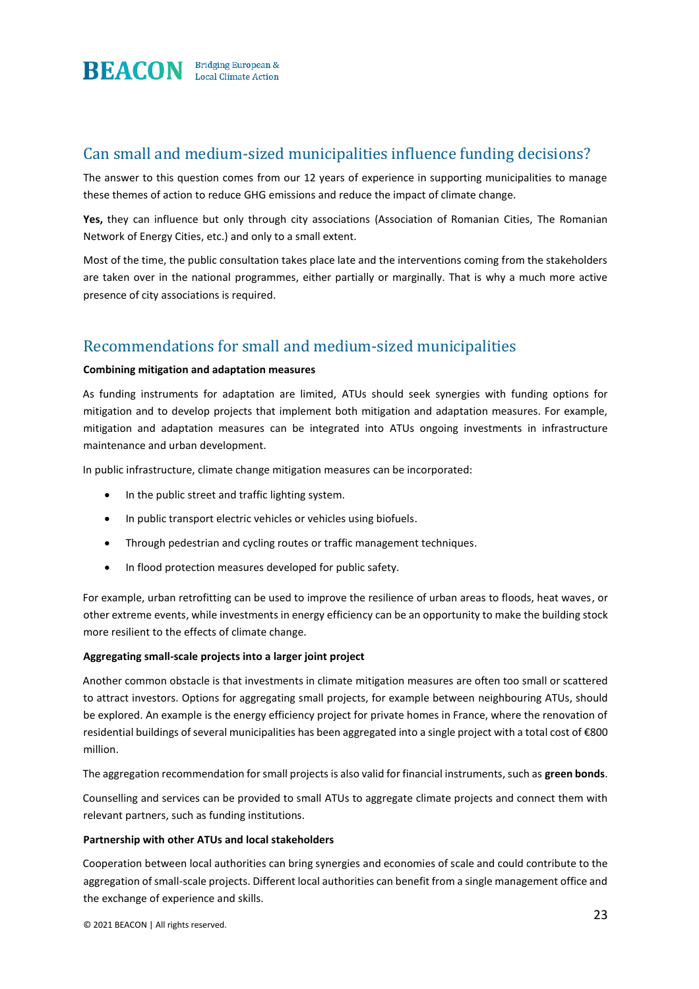

# Can small and medium-sized municipalities influence funding decisions?

The answer to this question comes from our 12 years of experience in supporting municipalities to manage these themes of action to reduce GHG emissions and reduce the impact of climate change.

Yes, they can influence but only through city associations (Association of Romanian Cities, The Romanian Network of Energy Cities, etc.) and only to a small extent.

Most of the time, the public consultation takes place late and the interventions coming from the stakeholders are taken over in the national programmes, either partially or marginally. That is why a much more active presence of city associations is required.

# Recommendations for small and medium-sized municipalities

#### **Combining mitigation and adaptation measures**

As funding instruments for adaptation are limited, ATUs should seek synergies with funding options for mitigation and to develop projects that implement both mitigation and adaptation measures. For example, mitigation and adaptation measures can be integrated into ATUs ongoing investments in infrastructure maintenance and urban development.

In public infrastructure, climate change mitigation measures can be incorporated:

- In the public street and traffic lighting system.
- In public transport electric vehicles or vehicles using biofuels.
- Through pedestrian and cycling routes or traffic management techniques.
- In flood protection measures developed for public safety.

For example, urban retrofitting can be used to improve the resilience of urban areas to floods, heat waves, or other extreme events, while investments in energy efficiency can be an opportunity to make the building stock more resilient to the effects of climate change.

#### **Aggregating small-scale projects into a larger joint project**

Another common obstacle is that investments in climate mitigation measures are often too small or scattered to attract investors. Options for aggregating small projects, for example between neighbouring ATUs, should be explored. An example is the energy efficiency project for private homes in France, where the renovation of residential buildings of several municipalities has been aggregated into a single project with a total cost of €800 million.

The aggregation recommendation for small projects is also valid for financial instruments, such as **green bonds**.

Counselling and services can be provided to small ATUs to aggregate climate projects and connect them with relevant partners, such as funding institutions.

#### **Partnership with other ATUs and local stakeholders**

Cooperation between local authorities can bring synergies and economies of scale and could contribute to the aggregation of small-scale projects. Different local authorities can benefit from a single management office and the exchange of experience and skills.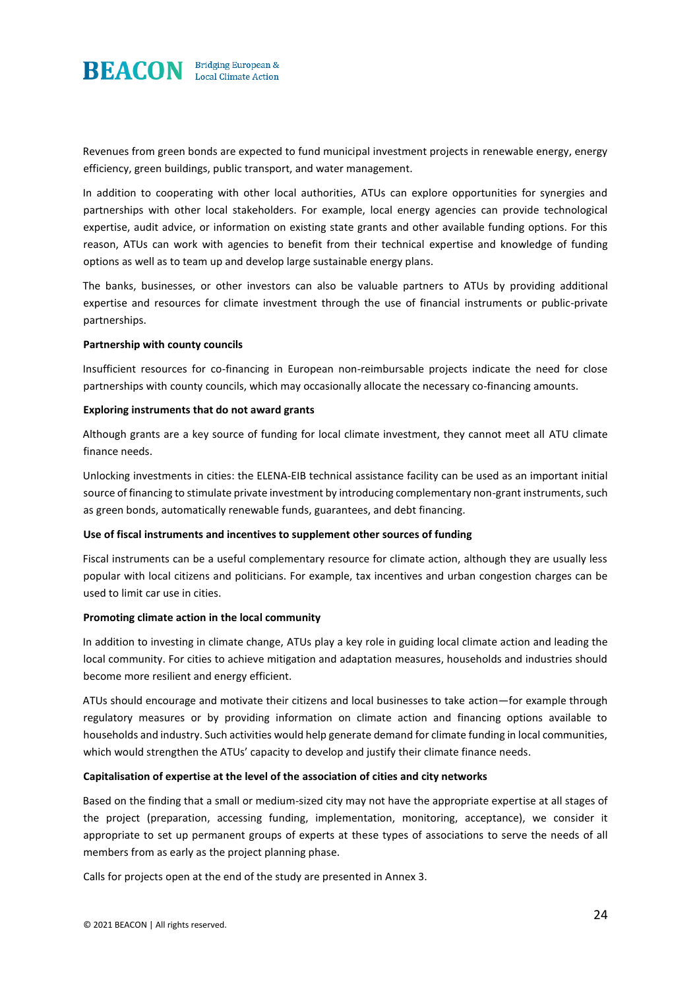

Revenues from green bonds are expected to fund municipal investment projects in renewable energy, energy efficiency, green buildings, public transport, and water management.

In addition to cooperating with other local authorities, ATUs can explore opportunities for synergies and partnerships with other local stakeholders. For example, local energy agencies can provide technological expertise, audit advice, or information on existing state grants and other available funding options. For this reason, ATUs can work with agencies to benefit from their technical expertise and knowledge of funding options as well as to team up and develop large sustainable energy plans.

The banks, businesses, or other investors can also be valuable partners to ATUs by providing additional expertise and resources for climate investment through the use of financial instruments or public-private partnerships.

#### **Partnership with county councils**

Insufficient resources for co-financing in European non-reimbursable projects indicate the need for close partnerships with county councils, which may occasionally allocate the necessary co-financing amounts.

#### **Exploring instruments that do not award grants**

Although grants are a key source of funding for local climate investment, they cannot meet all ATU climate finance needs.

Unlocking investments in cities: the ELENA-EIB technical assistance facility can be used as an important initial source of financing to stimulate private investment by introducing complementary non-grant instruments, such as green bonds, automatically renewable funds, guarantees, and debt financing.

#### **Use of fiscal instruments and incentives to supplement other sources of funding**

Fiscal instruments can be a useful complementary resource for climate action, although they are usually less popular with local citizens and politicians. For example, tax incentives and urban congestion charges can be used to limit car use in cities.

#### **Promoting climate action in the local community**

In addition to investing in climate change, ATUs play a key role in guiding local climate action and leading the local community. For cities to achieve mitigation and adaptation measures, households and industries should become more resilient and energy efficient.

ATUs should encourage and motivate their citizens and local businesses to take action—for example through regulatory measures or by providing information on climate action and financing options available to households and industry. Such activities would help generate demand for climate funding in local communities, which would strengthen the ATUs' capacity to develop and justify their climate finance needs.

#### **Capitalisation of expertise at the level of the association of cities and city networks**

Based on the finding that a small or medium-sized city may not have the appropriate expertise at all stages of the project (preparation, accessing funding, implementation, monitoring, acceptance), we consider it appropriate to set up permanent groups of experts at these types of associations to serve the needs of all members from as early as the project planning phase.

Calls for projects open at the end of the study are presented in Annex 3.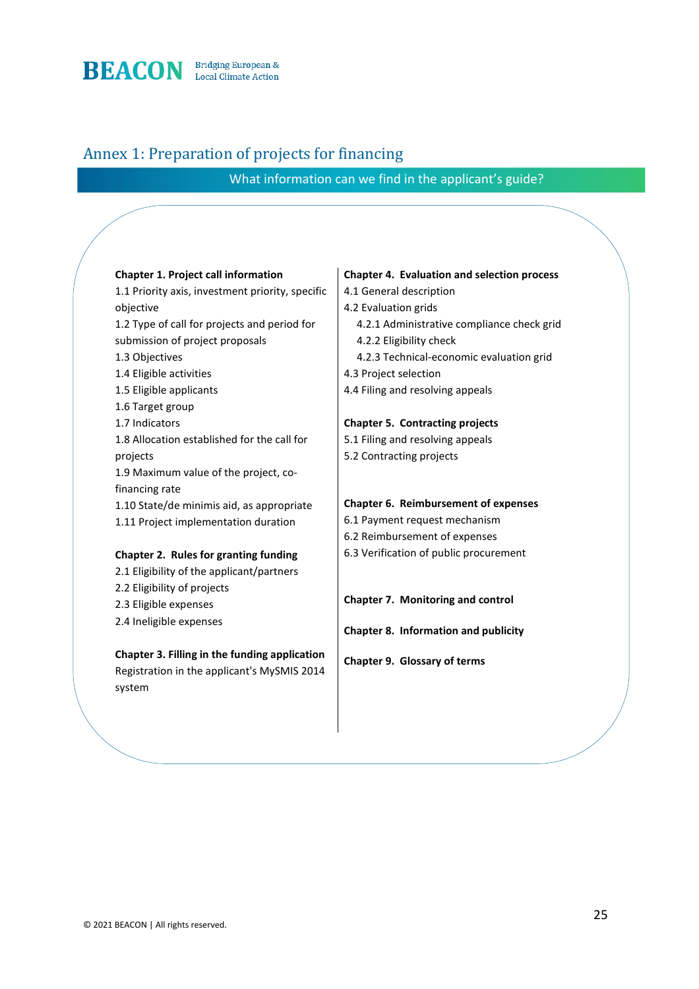

# Annex 1: Preparation of projects for financing

What information can we find in the applicant's guide?

| <b>Chapter 1. Project call information</b>       | <b>Chapter 4. Evaluation and selection process</b> |
|--------------------------------------------------|----------------------------------------------------|
| 1.1 Priority axis, investment priority, specific | 4.1 General description                            |
| objective                                        | 4.2 Evaluation grids                               |
| 1.2 Type of call for projects and period for     | 4.2.1 Administrative compliance check grid         |
| submission of project proposals                  | 4.2.2 Eligibility check                            |
| 1.3 Objectives                                   | 4.2.3 Technical-economic evaluation grid           |
| 1.4 Eligible activities                          | 4.3 Project selection                              |
| 1.5 Eligible applicants                          | 4.4 Filing and resolving appeals                   |
| 1.6 Target group                                 |                                                    |
| 1.7 Indicators                                   | <b>Chapter 5. Contracting projects</b>             |
| 1.8 Allocation established for the call for      | 5.1 Filing and resolving appeals                   |
| projects                                         | 5.2 Contracting projects                           |
| 1.9 Maximum value of the project, co-            |                                                    |
| financing rate                                   |                                                    |
| 1.10 State/de minimis aid, as appropriate        | Chapter 6. Reimbursement of expenses               |
| 1.11 Project implementation duration             | 6.1 Payment request mechanism                      |
|                                                  | 6.2 Reimbursement of expenses                      |
| Chapter 2. Rules for granting funding            | 6.3 Verification of public procurement             |
| 2.1 Eligibility of the applicant/partners        |                                                    |
| 2.2 Eligibility of projects                      |                                                    |
| 2.3 Eligible expenses                            | Chapter 7. Monitoring and control                  |
| 2.4 Ineligible expenses                          | Chapter 8. Information and publicity               |
| Chapter 3. Filling in the funding application    | Chapter 9. Glossary of terms                       |
| Registration in the applicant's MySMIS 2014      |                                                    |
| system                                           |                                                    |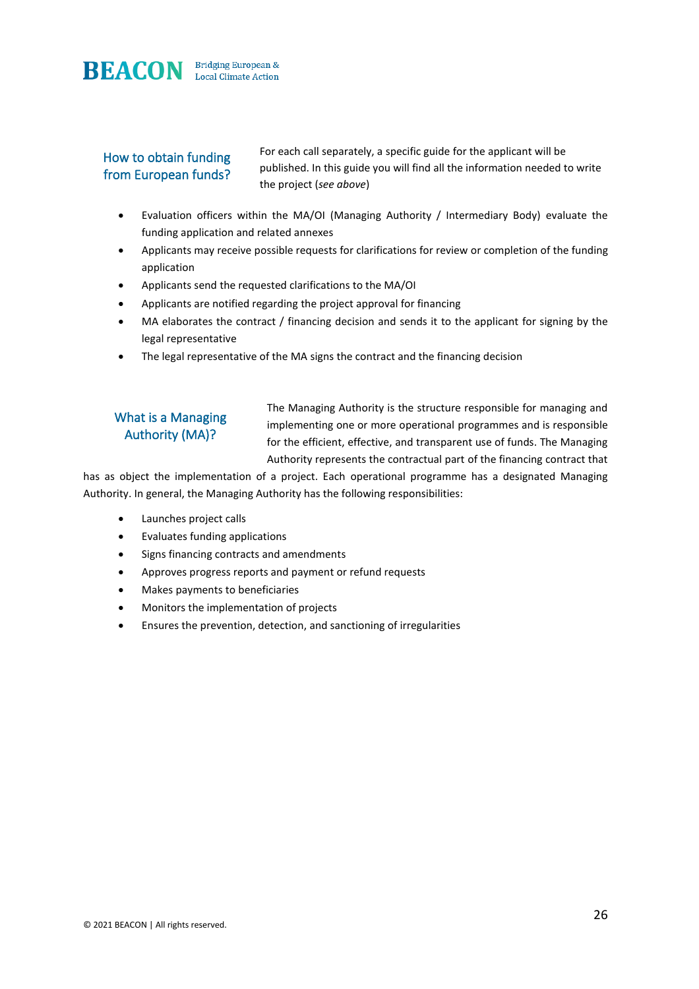

# How to obtain funding from European funds?

For each call separately, a specific guide for the applicant will be published. In this guide you will find all the information needed to write the project (*see above*)

- Evaluation officers within the MA/OI (Managing Authority / Intermediary Body) evaluate the funding application and related annexes
- Applicants may receive possible requests for clarifications for review or completion of the funding application
- Applicants send the requested clarifications to the MA/OI
- Applicants are notified regarding the project approval for financing
- MA elaborates the contract / financing decision and sends it to the applicant for signing by the legal representative
- The legal representative of the MA signs the contract and the financing decision

# What is a Managing Authority (MA)?

The Managing Authority is the structure responsible for managing and implementing one or more operational programmes and is responsible for the efficient, effective, and transparent use of funds. The Managing Authority represents the contractual part of the financing contract that

has as object the implementation of a project. Each operational programme has a designated Managing Authority. In general, the Managing Authority has the following responsibilities:

- Launches project calls
- Evaluates funding applications
- Signs financing contracts and amendments
- Approves progress reports and payment or refund requests
- Makes payments to beneficiaries
- Monitors the implementation of projects
- Ensures the prevention, detection, and sanctioning of irregularities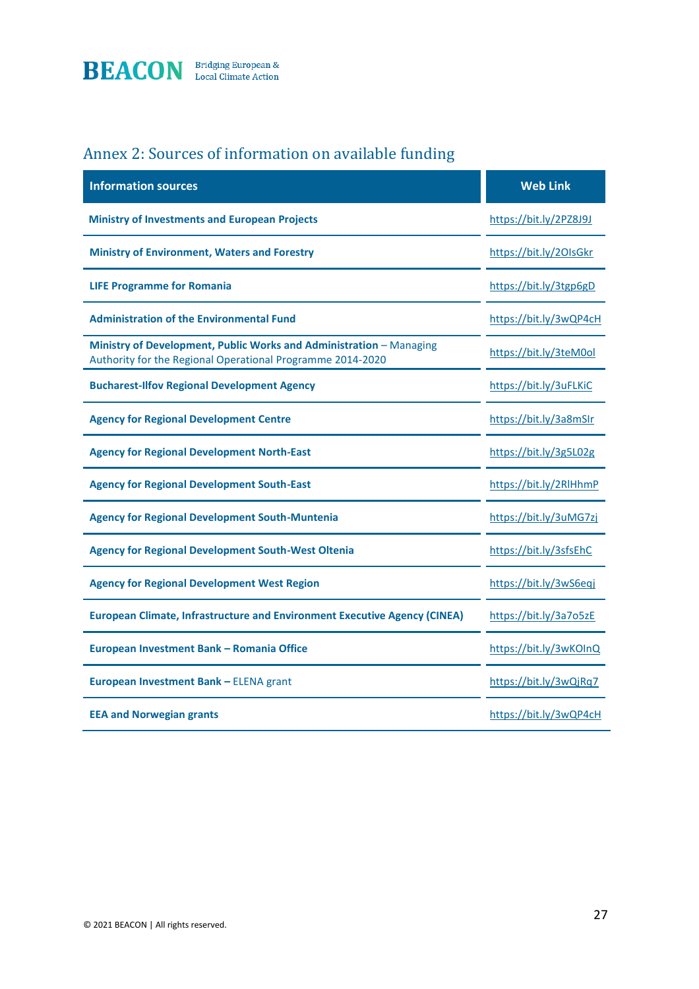

# Annex 2: Sources of information on available funding

| <b>Information sources</b>                                                                                                        | <b>Web Link</b>        |
|-----------------------------------------------------------------------------------------------------------------------------------|------------------------|
| <b>Ministry of Investments and European Projects</b>                                                                              | https://bit.ly/2PZ8J9J |
| <b>Ministry of Environment, Waters and Forestry</b>                                                                               | https://bit.ly/20IsGkr |
| <b>LIFE Programme for Romania</b>                                                                                                 | https://bit.ly/3tgp6gD |
| <b>Administration of the Environmental Fund</b>                                                                                   | https://bit.ly/3wQP4cH |
| Ministry of Development, Public Works and Administration - Managing<br>Authority for the Regional Operational Programme 2014-2020 | https://bit.ly/3teM0ol |
| <b>Bucharest-Ilfov Regional Development Agency</b>                                                                                | https://bit.ly/3uFLKiC |
| <b>Agency for Regional Development Centre</b>                                                                                     | https://bit.ly/3a8mSIr |
| <b>Agency for Regional Development North-East</b>                                                                                 | https://bit.ly/3g5L02g |
| <b>Agency for Regional Development South-East</b>                                                                                 | https://bit.ly/2RlHhmP |
| <b>Agency for Regional Development South-Muntenia</b>                                                                             | https://bit.ly/3uMG7zj |
| <b>Agency for Regional Development South-West Oltenia</b>                                                                         | https://bit.ly/3sfsEhC |
| <b>Agency for Regional Development West Region</b>                                                                                | https://bit.ly/3wS6eqj |
| <b>European Climate, Infrastructure and Environment Executive Agency (CINEA)</b>                                                  | https://bit.ly/3a7o5zE |
| European Investment Bank - Romania Office                                                                                         | https://bit.ly/3wKOInQ |
| European Investment Bank - ELENA grant                                                                                            | https://bit.ly/3wQjRq7 |
| <b>EEA and Norwegian grants</b>                                                                                                   | https://bit.ly/3wQP4cH |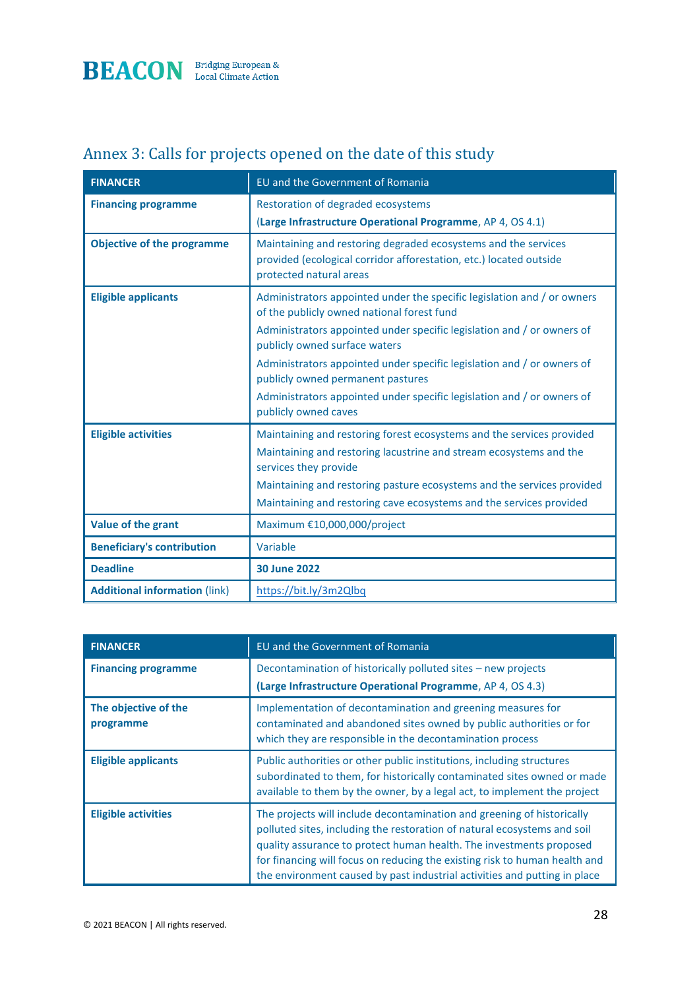

# Annex 3: Calls for projects opened on the date of this study

| <b>FINANCER</b>                      | EU and the Government of Romania                                                                                                                                |
|--------------------------------------|-----------------------------------------------------------------------------------------------------------------------------------------------------------------|
| <b>Financing programme</b>           | Restoration of degraded ecosystems                                                                                                                              |
|                                      | (Large Infrastructure Operational Programme, AP 4, OS 4.1)                                                                                                      |
| <b>Objective of the programme</b>    | Maintaining and restoring degraded ecosystems and the services<br>provided (ecological corridor afforestation, etc.) located outside<br>protected natural areas |
| <b>Eligible applicants</b>           | Administrators appointed under the specific legislation and / or owners<br>of the publicly owned national forest fund                                           |
|                                      | Administrators appointed under specific legislation and / or owners of<br>publicly owned surface waters                                                         |
|                                      | Administrators appointed under specific legislation and / or owners of<br>publicly owned permanent pastures                                                     |
|                                      | Administrators appointed under specific legislation and / or owners of<br>publicly owned caves                                                                  |
| <b>Eligible activities</b>           | Maintaining and restoring forest ecosystems and the services provided                                                                                           |
|                                      | Maintaining and restoring lacustrine and stream ecosystems and the<br>services they provide                                                                     |
|                                      | Maintaining and restoring pasture ecosystems and the services provided                                                                                          |
|                                      | Maintaining and restoring cave ecosystems and the services provided                                                                                             |
| Value of the grant                   | Maximum €10,000,000/project                                                                                                                                     |
| <b>Beneficiary's contribution</b>    | Variable                                                                                                                                                        |
| <b>Deadline</b>                      | <b>30 June 2022</b>                                                                                                                                             |
| <b>Additional information (link)</b> | https://bit.ly/3m2Qlbq                                                                                                                                          |

| <b>FINANCER</b>                   | <b>EU</b> and the Government of Romania                                                                                                                                                                                                                                                                                                                                              |
|-----------------------------------|--------------------------------------------------------------------------------------------------------------------------------------------------------------------------------------------------------------------------------------------------------------------------------------------------------------------------------------------------------------------------------------|
| <b>Financing programme</b>        | Decontamination of historically polluted sites - new projects<br>(Large Infrastructure Operational Programme, AP 4, OS 4.3)                                                                                                                                                                                                                                                          |
| The objective of the<br>programme | Implementation of decontamination and greening measures for<br>contaminated and abandoned sites owned by public authorities or for<br>which they are responsible in the decontamination process                                                                                                                                                                                      |
| <b>Eligible applicants</b>        | Public authorities or other public institutions, including structures<br>subordinated to them, for historically contaminated sites owned or made<br>available to them by the owner, by a legal act, to implement the project                                                                                                                                                         |
| <b>Eligible activities</b>        | The projects will include decontamination and greening of historically<br>polluted sites, including the restoration of natural ecosystems and soil<br>quality assurance to protect human health. The investments proposed<br>for financing will focus on reducing the existing risk to human health and<br>the environment caused by past industrial activities and putting in place |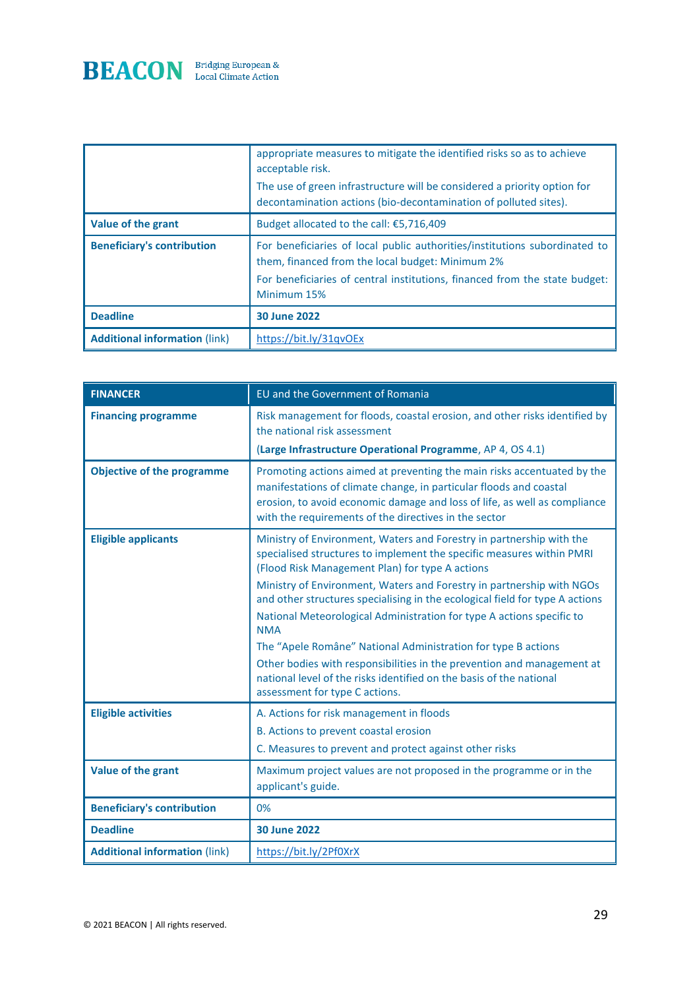

|                                      | appropriate measures to mitigate the identified risks so as to achieve<br>acceptable risk.<br>The use of green infrastructure will be considered a priority option for<br>decontamination actions (bio-decontamination of polluted sites). |
|--------------------------------------|--------------------------------------------------------------------------------------------------------------------------------------------------------------------------------------------------------------------------------------------|
| Value of the grant                   | Budget allocated to the call: $\epsilon$ 5,716,409                                                                                                                                                                                         |
| <b>Beneficiary's contribution</b>    | For beneficiaries of local public authorities/institutions subordinated to<br>them, financed from the local budget: Minimum 2%<br>For beneficiaries of central institutions, financed from the state budget:<br>Minimum 15%                |
| <b>Deadline</b>                      | <b>30 June 2022</b>                                                                                                                                                                                                                        |
| <b>Additional information (link)</b> | https://bit.ly/31gyOEx                                                                                                                                                                                                                     |

| <b>FINANCER</b>                      | EU and the Government of Romania                                                                                                                                                                                                                                                    |
|--------------------------------------|-------------------------------------------------------------------------------------------------------------------------------------------------------------------------------------------------------------------------------------------------------------------------------------|
| <b>Financing programme</b>           | Risk management for floods, coastal erosion, and other risks identified by<br>the national risk assessment<br>(Large Infrastructure Operational Programme, AP 4, OS 4.1)                                                                                                            |
|                                      |                                                                                                                                                                                                                                                                                     |
| <b>Objective of the programme</b>    | Promoting actions aimed at preventing the main risks accentuated by the<br>manifestations of climate change, in particular floods and coastal<br>erosion, to avoid economic damage and loss of life, as well as compliance<br>with the requirements of the directives in the sector |
| <b>Eligible applicants</b>           | Ministry of Environment, Waters and Forestry in partnership with the<br>specialised structures to implement the specific measures within PMRI<br>(Flood Risk Management Plan) for type A actions                                                                                    |
|                                      | Ministry of Environment, Waters and Forestry in partnership with NGOs<br>and other structures specialising in the ecological field for type A actions                                                                                                                               |
|                                      | National Meteorological Administration for type A actions specific to<br><b>NMA</b>                                                                                                                                                                                                 |
|                                      | The "Apele Române" National Administration for type B actions                                                                                                                                                                                                                       |
|                                      | Other bodies with responsibilities in the prevention and management at<br>national level of the risks identified on the basis of the national<br>assessment for type C actions.                                                                                                     |
| <b>Eligible activities</b>           | A. Actions for risk management in floods                                                                                                                                                                                                                                            |
|                                      | B. Actions to prevent coastal erosion                                                                                                                                                                                                                                               |
|                                      | C. Measures to prevent and protect against other risks                                                                                                                                                                                                                              |
| Value of the grant                   | Maximum project values are not proposed in the programme or in the<br>applicant's guide.                                                                                                                                                                                            |
| <b>Beneficiary's contribution</b>    | 0%                                                                                                                                                                                                                                                                                  |
| <b>Deadline</b>                      | <b>30 June 2022</b>                                                                                                                                                                                                                                                                 |
| <b>Additional information (link)</b> | https://bit.ly/2Pf0XrX                                                                                                                                                                                                                                                              |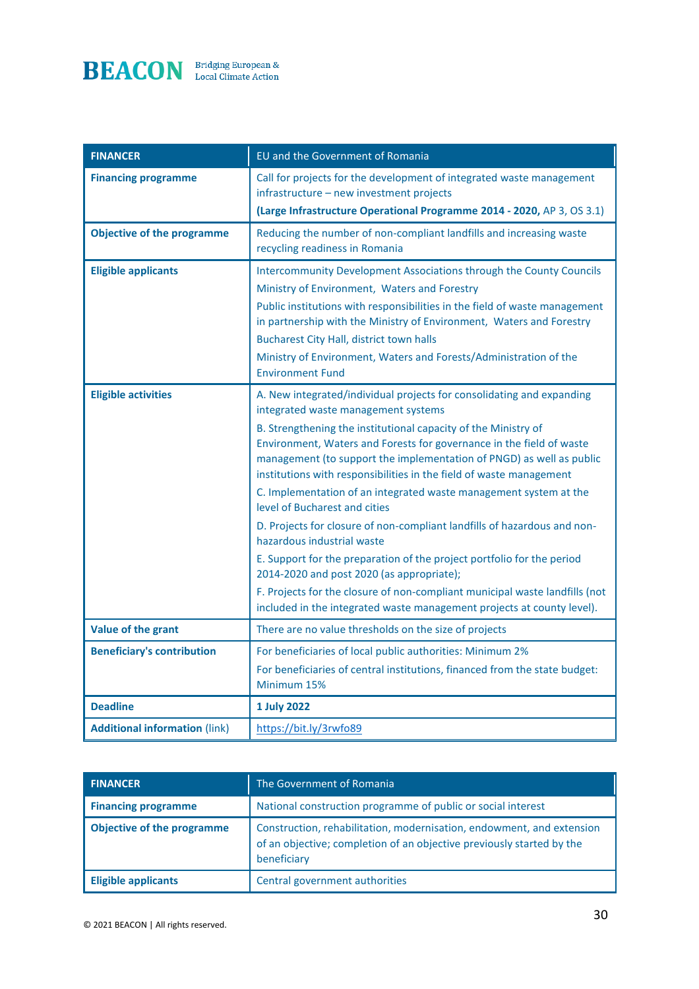

| <b>FINANCER</b>                      | EU and the Government of Romania                                                                                                                                                                                                                                                                                                                                                                                                                                                                                                                                                                                                                                                                                                                                                                                                                                                                      |
|--------------------------------------|-------------------------------------------------------------------------------------------------------------------------------------------------------------------------------------------------------------------------------------------------------------------------------------------------------------------------------------------------------------------------------------------------------------------------------------------------------------------------------------------------------------------------------------------------------------------------------------------------------------------------------------------------------------------------------------------------------------------------------------------------------------------------------------------------------------------------------------------------------------------------------------------------------|
| <b>Financing programme</b>           | Call for projects for the development of integrated waste management<br>infrastructure - new investment projects<br>(Large Infrastructure Operational Programme 2014 - 2020, AP 3, OS 3.1)                                                                                                                                                                                                                                                                                                                                                                                                                                                                                                                                                                                                                                                                                                            |
| <b>Objective of the programme</b>    | Reducing the number of non-compliant landfills and increasing waste<br>recycling readiness in Romania                                                                                                                                                                                                                                                                                                                                                                                                                                                                                                                                                                                                                                                                                                                                                                                                 |
| <b>Eligible applicants</b>           | Intercommunity Development Associations through the County Councils<br>Ministry of Environment, Waters and Forestry<br>Public institutions with responsibilities in the field of waste management<br>in partnership with the Ministry of Environment, Waters and Forestry<br><b>Bucharest City Hall, district town halls</b><br>Ministry of Environment, Waters and Forests/Administration of the<br><b>Environment Fund</b>                                                                                                                                                                                                                                                                                                                                                                                                                                                                          |
| <b>Eligible activities</b>           | A. New integrated/individual projects for consolidating and expanding<br>integrated waste management systems<br>B. Strengthening the institutional capacity of the Ministry of<br>Environment, Waters and Forests for governance in the field of waste<br>management (to support the implementation of PNGD) as well as public<br>institutions with responsibilities in the field of waste management<br>C. Implementation of an integrated waste management system at the<br>level of Bucharest and cities<br>D. Projects for closure of non-compliant landfills of hazardous and non-<br>hazardous industrial waste<br>E. Support for the preparation of the project portfolio for the period<br>2014-2020 and post 2020 (as appropriate);<br>F. Projects for the closure of non-compliant municipal waste landfills (not<br>included in the integrated waste management projects at county level). |
| Value of the grant                   | There are no value thresholds on the size of projects                                                                                                                                                                                                                                                                                                                                                                                                                                                                                                                                                                                                                                                                                                                                                                                                                                                 |
| <b>Beneficiary's contribution</b>    | For beneficiaries of local public authorities: Minimum 2%<br>For beneficiaries of central institutions, financed from the state budget:<br>Minimum 15%                                                                                                                                                                                                                                                                                                                                                                                                                                                                                                                                                                                                                                                                                                                                                |
| <b>Deadline</b>                      | 1 July 2022                                                                                                                                                                                                                                                                                                                                                                                                                                                                                                                                                                                                                                                                                                                                                                                                                                                                                           |
| <b>Additional information (link)</b> | https://bit.ly/3rwfo89                                                                                                                                                                                                                                                                                                                                                                                                                                                                                                                                                                                                                                                                                                                                                                                                                                                                                |

| <b>FINANCER</b>                   | The Government of Romania                                                                                                                                     |
|-----------------------------------|---------------------------------------------------------------------------------------------------------------------------------------------------------------|
| <b>Financing programme</b>        | National construction programme of public or social interest                                                                                                  |
| <b>Objective of the programme</b> | Construction, rehabilitation, modernisation, endowment, and extension<br>of an objective; completion of an objective previously started by the<br>beneficiary |
| <b>Eligible applicants</b>        | Central government authorities                                                                                                                                |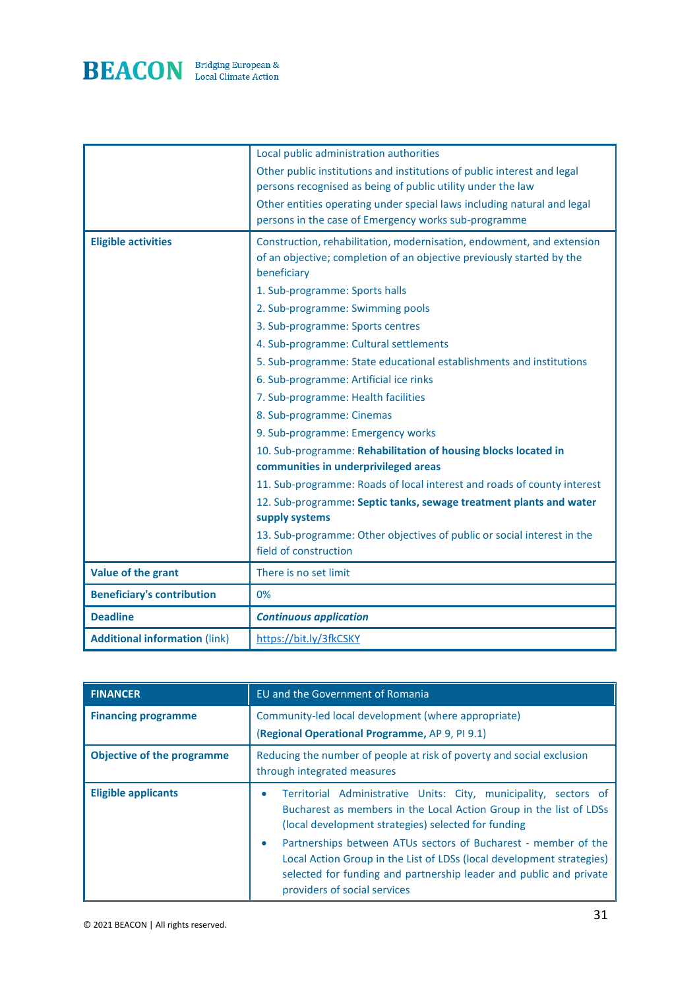

|                                      | Local public administration authorities                                 |
|--------------------------------------|-------------------------------------------------------------------------|
|                                      | Other public institutions and institutions of public interest and legal |
|                                      | persons recognised as being of public utility under the law             |
|                                      | Other entities operating under special laws including natural and legal |
|                                      | persons in the case of Emergency works sub-programme                    |
| <b>Eligible activities</b>           | Construction, rehabilitation, modernisation, endowment, and extension   |
|                                      | of an objective; completion of an objective previously started by the   |
|                                      | beneficiary                                                             |
|                                      | 1. Sub-programme: Sports halls                                          |
|                                      | 2. Sub-programme: Swimming pools                                        |
|                                      | 3. Sub-programme: Sports centres                                        |
|                                      | 4. Sub-programme: Cultural settlements                                  |
|                                      | 5. Sub-programme: State educational establishments and institutions     |
|                                      | 6. Sub-programme: Artificial ice rinks                                  |
|                                      | 7. Sub-programme: Health facilities                                     |
|                                      | 8. Sub-programme: Cinemas                                               |
|                                      | 9. Sub-programme: Emergency works                                       |
|                                      | 10. Sub-programme: Rehabilitation of housing blocks located in          |
|                                      | communities in underprivileged areas                                    |
|                                      | 11. Sub-programme: Roads of local interest and roads of county interest |
|                                      | 12. Sub-programme: Septic tanks, sewage treatment plants and water      |
|                                      | supply systems                                                          |
|                                      | 13. Sub-programme: Other objectives of public or social interest in the |
|                                      | field of construction                                                   |
| Value of the grant                   | There is no set limit                                                   |
| <b>Beneficiary's contribution</b>    | 0%                                                                      |
| <b>Deadline</b>                      | <b>Continuous application</b>                                           |
| <b>Additional information (link)</b> | https://bit.ly/3fkCSKY                                                  |

| <b>FINANCER</b>                   | EU and the Government of Romania                                                                                                                                                                                                                   |
|-----------------------------------|----------------------------------------------------------------------------------------------------------------------------------------------------------------------------------------------------------------------------------------------------|
| <b>Financing programme</b>        | Community-led local development (where appropriate)<br>(Regional Operational Programme, AP 9, PI 9.1)                                                                                                                                              |
| <b>Objective of the programme</b> | Reducing the number of people at risk of poverty and social exclusion<br>through integrated measures                                                                                                                                               |
| <b>Eligible applicants</b>        | Territorial Administrative Units: City, municipality, sectors of<br>۰<br>Bucharest as members in the Local Action Group in the list of LDSs<br>(local development strategies) selected for funding                                                 |
|                                   | Partnerships between ATUs sectors of Bucharest - member of the<br>۰<br>Local Action Group in the List of LDSs (local development strategies)<br>selected for funding and partnership leader and public and private<br>providers of social services |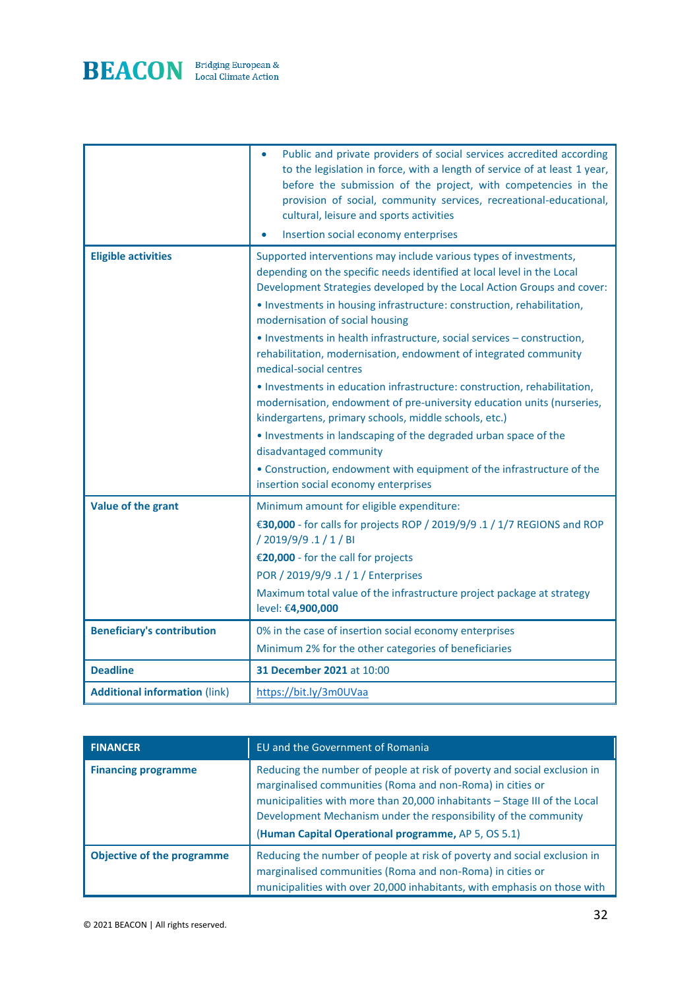

|                                      | Public and private providers of social services accredited according<br>$\bullet$<br>to the legislation in force, with a length of service of at least 1 year,<br>before the submission of the project, with competencies in the<br>provision of social, community services, recreational-educational,<br>cultural, leisure and sports activities<br>Insertion social economy enterprises                                                                                                                   |
|--------------------------------------|-------------------------------------------------------------------------------------------------------------------------------------------------------------------------------------------------------------------------------------------------------------------------------------------------------------------------------------------------------------------------------------------------------------------------------------------------------------------------------------------------------------|
| <b>Eligible activities</b>           | Supported interventions may include various types of investments,<br>depending on the specific needs identified at local level in the Local<br>Development Strategies developed by the Local Action Groups and cover:<br>• Investments in housing infrastructure: construction, rehabilitation,<br>modernisation of social housing<br>• Investments in health infrastructure, social services - construction,<br>rehabilitation, modernisation, endowment of integrated community<br>medical-social centres |
|                                      | • Investments in education infrastructure: construction, rehabilitation,<br>modernisation, endowment of pre-university education units (nurseries,<br>kindergartens, primary schools, middle schools, etc.)<br>. Investments in landscaping of the degraded urban space of the<br>disadvantaged community<br>• Construction, endowment with equipment of the infrastructure of the<br>insertion social economy enterprises                                                                                  |
| Value of the grant                   | Minimum amount for eligible expenditure:<br>€30,000 - for calls for projects ROP / 2019/9/9.1 / 1/7 REGIONS and ROP<br>/2019/9/9.1/1/BI<br>€20,000 - for the call for projects<br>POR / 2019/9/9 .1 / 1 / Enterprises<br>Maximum total value of the infrastructure project package at strategy<br>level: €4,900,000                                                                                                                                                                                         |
| <b>Beneficiary's contribution</b>    | 0% in the case of insertion social economy enterprises<br>Minimum 2% for the other categories of beneficiaries                                                                                                                                                                                                                                                                                                                                                                                              |
| <b>Deadline</b>                      | 31 December 2021 at 10:00                                                                                                                                                                                                                                                                                                                                                                                                                                                                                   |
| <b>Additional information (link)</b> | https://bit.ly/3m0UVaa                                                                                                                                                                                                                                                                                                                                                                                                                                                                                      |

| <b>FINANCER</b>                   | EU and the Government of Romania                                                                                                                                                                                                                                                                                                             |
|-----------------------------------|----------------------------------------------------------------------------------------------------------------------------------------------------------------------------------------------------------------------------------------------------------------------------------------------------------------------------------------------|
| <b>Financing programme</b>        | Reducing the number of people at risk of poverty and social exclusion in<br>marginalised communities (Roma and non-Roma) in cities or<br>municipalities with more than 20,000 inhabitants - Stage III of the Local<br>Development Mechanism under the responsibility of the community<br>(Human Capital Operational programme, AP 5, OS 5.1) |
| <b>Objective of the programme</b> | Reducing the number of people at risk of poverty and social exclusion in<br>marginalised communities (Roma and non-Roma) in cities or<br>municipalities with over 20,000 inhabitants, with emphasis on those with                                                                                                                            |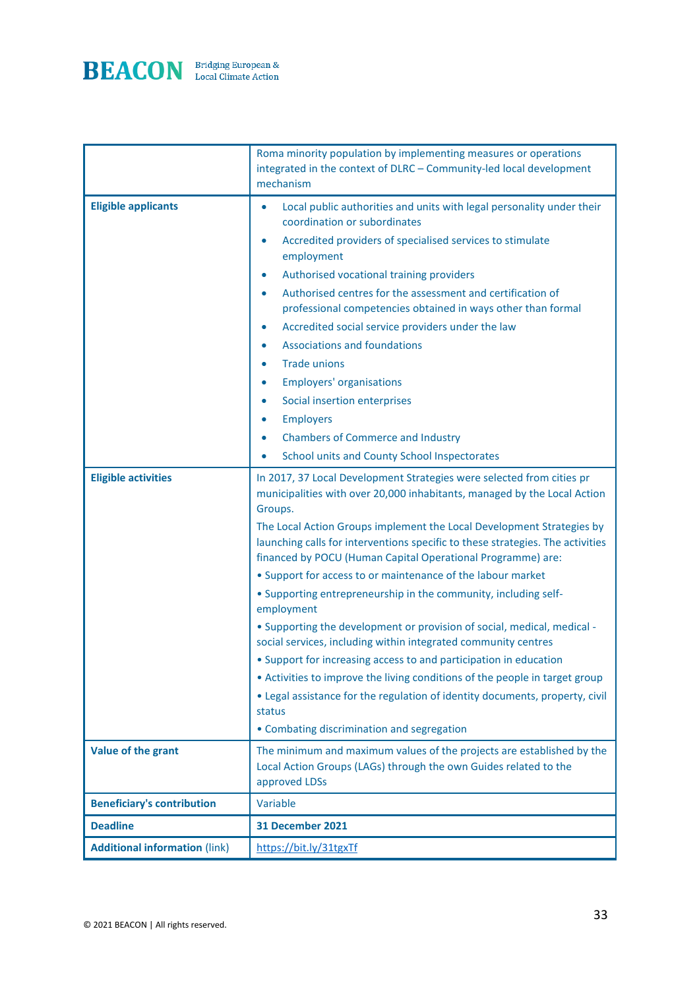

|                                      | Roma minority population by implementing measures or operations<br>integrated in the context of DLRC - Community-led local development<br>mechanism                                                                                                                                                                                                                                                                                                                                                                                                                                                                                                                                                                                                                                                                                                                                                                                                                             |
|--------------------------------------|---------------------------------------------------------------------------------------------------------------------------------------------------------------------------------------------------------------------------------------------------------------------------------------------------------------------------------------------------------------------------------------------------------------------------------------------------------------------------------------------------------------------------------------------------------------------------------------------------------------------------------------------------------------------------------------------------------------------------------------------------------------------------------------------------------------------------------------------------------------------------------------------------------------------------------------------------------------------------------|
| <b>Eligible applicants</b>           | Local public authorities and units with legal personality under their<br>$\bullet$<br>coordination or subordinates<br>Accredited providers of specialised services to stimulate<br>$\bullet$<br>employment<br>Authorised vocational training providers<br>$\bullet$<br>Authorised centres for the assessment and certification of<br>$\bullet$<br>professional competencies obtained in ways other than formal<br>Accredited social service providers under the law<br>$\bullet$<br><b>Associations and foundations</b><br>$\bullet$<br><b>Trade unions</b><br>$\bullet$<br><b>Employers' organisations</b><br>$\bullet$<br>Social insertion enterprises<br>$\bullet$<br><b>Employers</b><br>$\bullet$<br><b>Chambers of Commerce and Industry</b><br>$\bullet$<br>School units and County School Inspectorates<br>$\bullet$                                                                                                                                                    |
| <b>Eligible activities</b>           | In 2017, 37 Local Development Strategies were selected from cities pr<br>municipalities with over 20,000 inhabitants, managed by the Local Action<br>Groups.<br>The Local Action Groups implement the Local Development Strategies by<br>launching calls for interventions specific to these strategies. The activities<br>financed by POCU (Human Capital Operational Programme) are:<br>• Support for access to or maintenance of the labour market<br>• Supporting entrepreneurship in the community, including self-<br>employment<br>• Supporting the development or provision of social, medical, medical -<br>social services, including within integrated community centres<br>• Support for increasing access to and participation in education<br>• Activities to improve the living conditions of the people in target group<br>• Legal assistance for the regulation of identity documents, property, civil<br>status<br>• Combating discrimination and segregation |
| Value of the grant                   | The minimum and maximum values of the projects are established by the<br>Local Action Groups (LAGs) through the own Guides related to the<br>approved LDSs                                                                                                                                                                                                                                                                                                                                                                                                                                                                                                                                                                                                                                                                                                                                                                                                                      |
| <b>Beneficiary's contribution</b>    | Variable                                                                                                                                                                                                                                                                                                                                                                                                                                                                                                                                                                                                                                                                                                                                                                                                                                                                                                                                                                        |
| <b>Deadline</b>                      | <b>31 December 2021</b>                                                                                                                                                                                                                                                                                                                                                                                                                                                                                                                                                                                                                                                                                                                                                                                                                                                                                                                                                         |
| <b>Additional information (link)</b> | https://bit.ly/31tgxTf                                                                                                                                                                                                                                                                                                                                                                                                                                                                                                                                                                                                                                                                                                                                                                                                                                                                                                                                                          |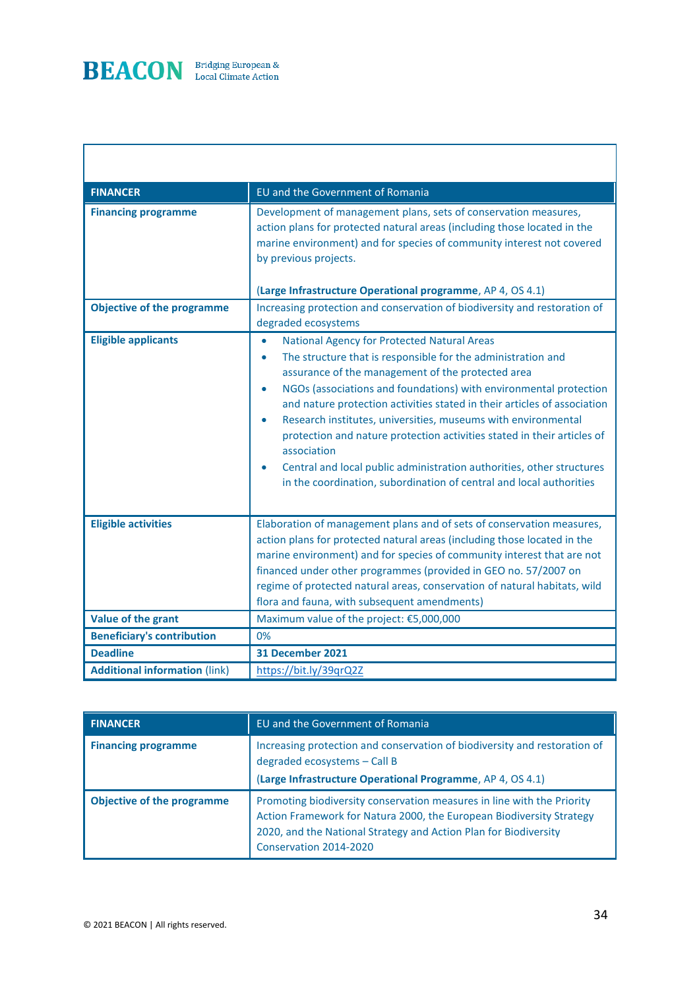

I

| <b>FINANCER</b>                      | EU and the Government of Romania                                                                                                                                                                                                                                                                                                                                                                                                                                                                                                                                                                                                                                                        |
|--------------------------------------|-----------------------------------------------------------------------------------------------------------------------------------------------------------------------------------------------------------------------------------------------------------------------------------------------------------------------------------------------------------------------------------------------------------------------------------------------------------------------------------------------------------------------------------------------------------------------------------------------------------------------------------------------------------------------------------------|
| <b>Financing programme</b>           | Development of management plans, sets of conservation measures,<br>action plans for protected natural areas (including those located in the<br>marine environment) and for species of community interest not covered<br>by previous projects.<br>(Large Infrastructure Operational programme, AP 4, OS 4.1)                                                                                                                                                                                                                                                                                                                                                                             |
| <b>Objective of the programme</b>    | Increasing protection and conservation of biodiversity and restoration of<br>degraded ecosystems                                                                                                                                                                                                                                                                                                                                                                                                                                                                                                                                                                                        |
| <b>Eligible applicants</b>           | <b>National Agency for Protected Natural Areas</b><br>$\bullet$<br>The structure that is responsible for the administration and<br>$\bullet$<br>assurance of the management of the protected area<br>NGOs (associations and foundations) with environmental protection<br>$\bullet$<br>and nature protection activities stated in their articles of association<br>Research institutes, universities, museums with environmental<br>$\bullet$<br>protection and nature protection activities stated in their articles of<br>association<br>Central and local public administration authorities, other structures<br>in the coordination, subordination of central and local authorities |
| <b>Eligible activities</b>           | Elaboration of management plans and of sets of conservation measures,<br>action plans for protected natural areas (including those located in the<br>marine environment) and for species of community interest that are not<br>financed under other programmes (provided in GEO no. 57/2007 on<br>regime of protected natural areas, conservation of natural habitats, wild<br>flora and fauna, with subsequent amendments)                                                                                                                                                                                                                                                             |
| Value of the grant                   | Maximum value of the project: €5,000,000                                                                                                                                                                                                                                                                                                                                                                                                                                                                                                                                                                                                                                                |
| <b>Beneficiary's contribution</b>    | 0%                                                                                                                                                                                                                                                                                                                                                                                                                                                                                                                                                                                                                                                                                      |
| <b>Deadline</b>                      | <b>31 December 2021</b>                                                                                                                                                                                                                                                                                                                                                                                                                                                                                                                                                                                                                                                                 |
| <b>Additional information (link)</b> | https://bit.ly/39qrQ2Z                                                                                                                                                                                                                                                                                                                                                                                                                                                                                                                                                                                                                                                                  |

| <b>FINANCER</b>                   | EU and the Government of Romania                                                                                                                                                                                                             |
|-----------------------------------|----------------------------------------------------------------------------------------------------------------------------------------------------------------------------------------------------------------------------------------------|
| <b>Financing programme</b>        | Increasing protection and conservation of biodiversity and restoration of<br>degraded ecosystems - Call B<br>(Large Infrastructure Operational Programme, AP 4, OS 4.1)                                                                      |
| <b>Objective of the programme</b> | Promoting biodiversity conservation measures in line with the Priority<br>Action Framework for Natura 2000, the European Biodiversity Strategy<br>2020, and the National Strategy and Action Plan for Biodiversity<br>Conservation 2014-2020 |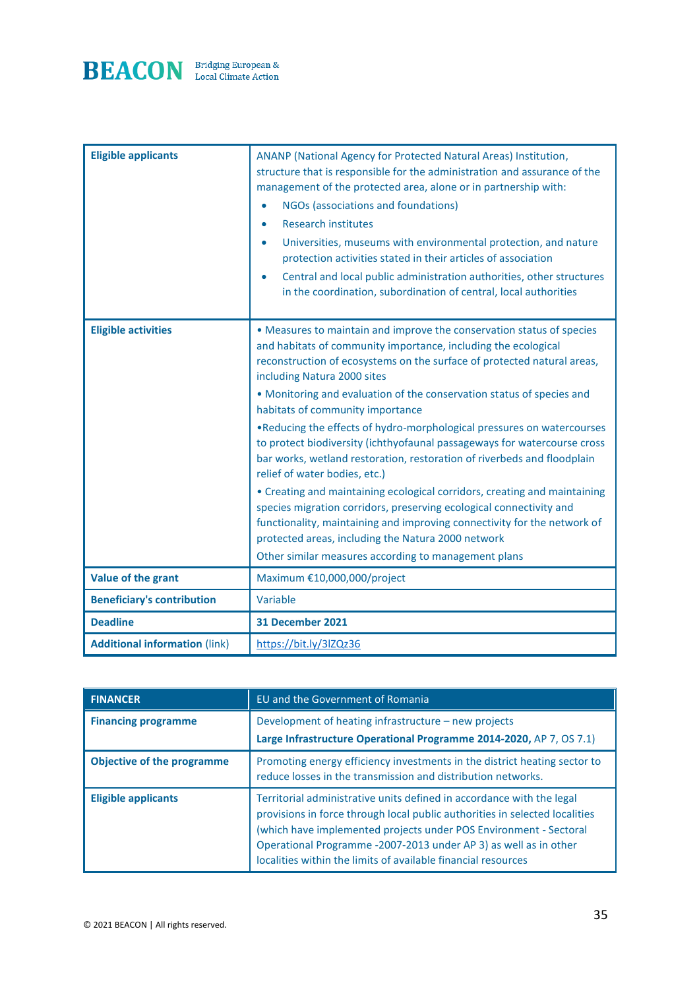

| <b>Eligible applicants</b>           | ANANP (National Agency for Protected Natural Areas) Institution,<br>structure that is responsible for the administration and assurance of the<br>management of the protected area, alone or in partnership with:<br>NGOs (associations and foundations)<br>$\bullet$<br><b>Research institutes</b><br>$\bullet$<br>Universities, museums with environmental protection, and nature<br>$\bullet$<br>protection activities stated in their articles of association<br>Central and local public administration authorities, other structures<br>$\bullet$<br>in the coordination, subordination of central, local authorities                                                                                                                                                                                                                                                                                                                                                      |
|--------------------------------------|---------------------------------------------------------------------------------------------------------------------------------------------------------------------------------------------------------------------------------------------------------------------------------------------------------------------------------------------------------------------------------------------------------------------------------------------------------------------------------------------------------------------------------------------------------------------------------------------------------------------------------------------------------------------------------------------------------------------------------------------------------------------------------------------------------------------------------------------------------------------------------------------------------------------------------------------------------------------------------|
| <b>Eligible activities</b>           | • Measures to maintain and improve the conservation status of species<br>and habitats of community importance, including the ecological<br>reconstruction of ecosystems on the surface of protected natural areas,<br>including Natura 2000 sites<br>• Monitoring and evaluation of the conservation status of species and<br>habitats of community importance<br>. Reducing the effects of hydro-morphological pressures on watercourses<br>to protect biodiversity (ichthyofaunal passageways for watercourse cross<br>bar works, wetland restoration, restoration of riverbeds and floodplain<br>relief of water bodies, etc.)<br>• Creating and maintaining ecological corridors, creating and maintaining<br>species migration corridors, preserving ecological connectivity and<br>functionality, maintaining and improving connectivity for the network of<br>protected areas, including the Natura 2000 network<br>Other similar measures according to management plans |
| Value of the grant                   | Maximum €10,000,000/project                                                                                                                                                                                                                                                                                                                                                                                                                                                                                                                                                                                                                                                                                                                                                                                                                                                                                                                                                     |
| <b>Beneficiary's contribution</b>    | Variable                                                                                                                                                                                                                                                                                                                                                                                                                                                                                                                                                                                                                                                                                                                                                                                                                                                                                                                                                                        |
| <b>Deadline</b>                      | <b>31 December 2021</b>                                                                                                                                                                                                                                                                                                                                                                                                                                                                                                                                                                                                                                                                                                                                                                                                                                                                                                                                                         |
| <b>Additional information (link)</b> | https://bit.ly/3lZQz36                                                                                                                                                                                                                                                                                                                                                                                                                                                                                                                                                                                                                                                                                                                                                                                                                                                                                                                                                          |

| <b>FINANCER</b>                   | EU and the Government of Romania                                                                                                                                                                                                                                                                                                                               |
|-----------------------------------|----------------------------------------------------------------------------------------------------------------------------------------------------------------------------------------------------------------------------------------------------------------------------------------------------------------------------------------------------------------|
| <b>Financing programme</b>        | Development of heating infrastructure - new projects<br>Large Infrastructure Operational Programme 2014-2020, AP 7, OS 7.1)                                                                                                                                                                                                                                    |
| <b>Objective of the programme</b> | Promoting energy efficiency investments in the district heating sector to<br>reduce losses in the transmission and distribution networks.                                                                                                                                                                                                                      |
| <b>Eligible applicants</b>        | Territorial administrative units defined in accordance with the legal<br>provisions in force through local public authorities in selected localities<br>(which have implemented projects under POS Environment - Sectoral<br>Operational Programme -2007-2013 under AP 3) as well as in other<br>localities within the limits of available financial resources |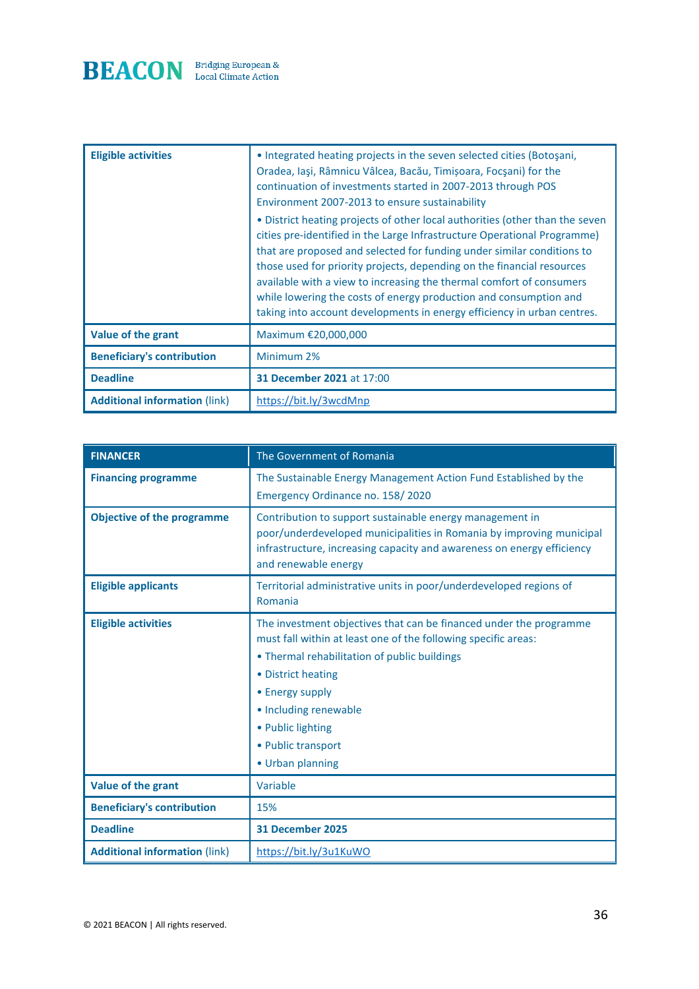

| <b>Eligible activities</b>           | • Integrated heating projects in the seven selected cities (Botoşani,<br>Oradea, Iași, Râmnicu Vâlcea, Bacău, Timișoara, Focșani) for the<br>continuation of investments started in 2007-2013 through POS<br>Environment 2007-2013 to ensure sustainability<br>• District heating projects of other local authorities (other than the seven<br>cities pre-identified in the Large Infrastructure Operational Programme)<br>that are proposed and selected for funding under similar conditions to<br>those used for priority projects, depending on the financial resources<br>available with a view to increasing the thermal comfort of consumers<br>while lowering the costs of energy production and consumption and<br>taking into account developments in energy efficiency in urban centres. |
|--------------------------------------|-----------------------------------------------------------------------------------------------------------------------------------------------------------------------------------------------------------------------------------------------------------------------------------------------------------------------------------------------------------------------------------------------------------------------------------------------------------------------------------------------------------------------------------------------------------------------------------------------------------------------------------------------------------------------------------------------------------------------------------------------------------------------------------------------------|
| Value of the grant                   | Maximum €20,000,000                                                                                                                                                                                                                                                                                                                                                                                                                                                                                                                                                                                                                                                                                                                                                                                 |
| <b>Beneficiary's contribution</b>    | Minimum 2%                                                                                                                                                                                                                                                                                                                                                                                                                                                                                                                                                                                                                                                                                                                                                                                          |
| <b>Deadline</b>                      | <b>31 December 2021 at 17:00</b>                                                                                                                                                                                                                                                                                                                                                                                                                                                                                                                                                                                                                                                                                                                                                                    |
| <b>Additional information (link)</b> | https://bit.ly/3wcdMnp                                                                                                                                                                                                                                                                                                                                                                                                                                                                                                                                                                                                                                                                                                                                                                              |

| <b>FINANCER</b>                      | The Government of Romania                                                                                                                                                                                                                                                                                             |
|--------------------------------------|-----------------------------------------------------------------------------------------------------------------------------------------------------------------------------------------------------------------------------------------------------------------------------------------------------------------------|
| <b>Financing programme</b>           | The Sustainable Energy Management Action Fund Established by the<br>Emergency Ordinance no. 158/2020                                                                                                                                                                                                                  |
| <b>Objective of the programme</b>    | Contribution to support sustainable energy management in<br>poor/underdeveloped municipalities in Romania by improving municipal<br>infrastructure, increasing capacity and awareness on energy efficiency<br>and renewable energy                                                                                    |
| <b>Eligible applicants</b>           | Territorial administrative units in poor/underdeveloped regions of<br>Romania                                                                                                                                                                                                                                         |
| <b>Eligible activities</b>           | The investment objectives that can be financed under the programme<br>must fall within at least one of the following specific areas:<br>• Thermal rehabilitation of public buildings<br>• District heating<br>• Energy supply<br>• Including renewable<br>• Public lighting<br>• Public transport<br>• Urban planning |
| Value of the grant                   | Variable                                                                                                                                                                                                                                                                                                              |
| <b>Beneficiary's contribution</b>    | 15%                                                                                                                                                                                                                                                                                                                   |
| <b>Deadline</b>                      | <b>31 December 2025</b>                                                                                                                                                                                                                                                                                               |
| <b>Additional information (link)</b> | https://bit.ly/3u1KuWO                                                                                                                                                                                                                                                                                                |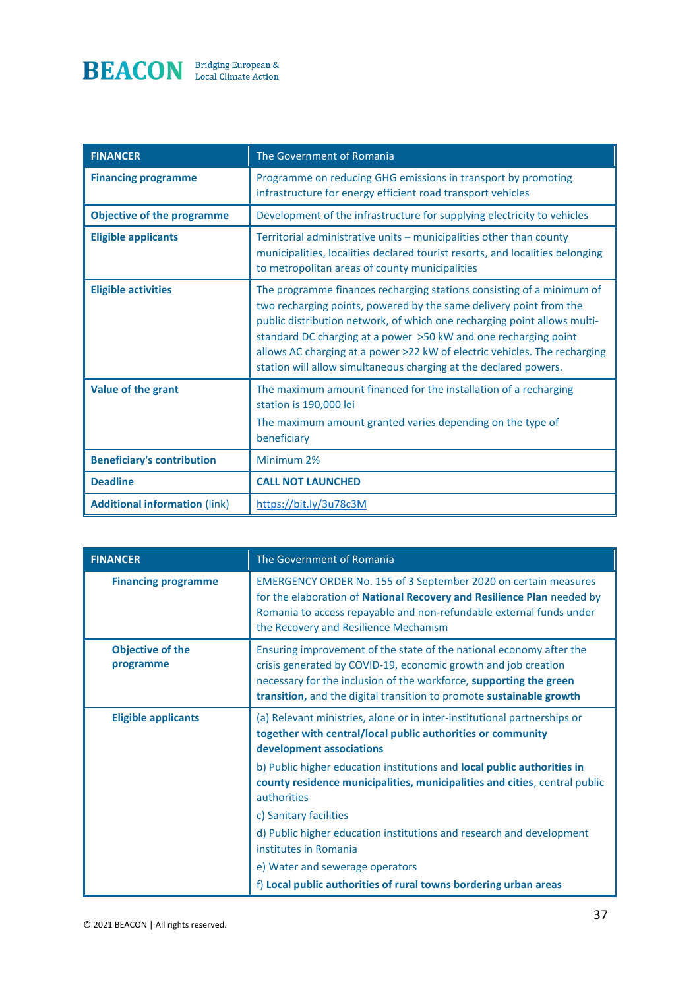

| <b>FINANCER</b>                      | The Government of Romania                                                                                                                                                                                                                                                                                                                                                                                                                   |
|--------------------------------------|---------------------------------------------------------------------------------------------------------------------------------------------------------------------------------------------------------------------------------------------------------------------------------------------------------------------------------------------------------------------------------------------------------------------------------------------|
| <b>Financing programme</b>           | Programme on reducing GHG emissions in transport by promoting<br>infrastructure for energy efficient road transport vehicles                                                                                                                                                                                                                                                                                                                |
| <b>Objective of the programme</b>    | Development of the infrastructure for supplying electricity to vehicles                                                                                                                                                                                                                                                                                                                                                                     |
| <b>Eligible applicants</b>           | Territorial administrative units - municipalities other than county<br>municipalities, localities declared tourist resorts, and localities belonging<br>to metropolitan areas of county municipalities                                                                                                                                                                                                                                      |
| <b>Eligible activities</b>           | The programme finances recharging stations consisting of a minimum of<br>two recharging points, powered by the same delivery point from the<br>public distribution network, of which one recharging point allows multi-<br>standard DC charging at a power >50 kW and one recharging point<br>allows AC charging at a power >22 kW of electric vehicles. The recharging<br>station will allow simultaneous charging at the declared powers. |
| Value of the grant                   | The maximum amount financed for the installation of a recharging<br>station is 190,000 lei<br>The maximum amount granted varies depending on the type of<br>beneficiary                                                                                                                                                                                                                                                                     |
| <b>Beneficiary's contribution</b>    | Minimum 2%                                                                                                                                                                                                                                                                                                                                                                                                                                  |
| <b>Deadline</b>                      | <b>CALL NOT LAUNCHED</b>                                                                                                                                                                                                                                                                                                                                                                                                                    |
| <b>Additional information (link)</b> | https://bit.ly/3u78c3M                                                                                                                                                                                                                                                                                                                                                                                                                      |

| <b>FINANCER</b>                      | The Government of Romania                                                                                                                                                                                                                                                           |
|--------------------------------------|-------------------------------------------------------------------------------------------------------------------------------------------------------------------------------------------------------------------------------------------------------------------------------------|
| <b>Financing programme</b>           | EMERGENCY ORDER No. 155 of 3 September 2020 on certain measures<br>for the elaboration of National Recovery and Resilience Plan needed by<br>Romania to access repayable and non-refundable external funds under<br>the Recovery and Resilience Mechanism                           |
| <b>Objective of the</b><br>programme | Ensuring improvement of the state of the national economy after the<br>crisis generated by COVID-19, economic growth and job creation<br>necessary for the inclusion of the workforce, supporting the green<br>transition, and the digital transition to promote sustainable growth |
| <b>Eligible applicants</b>           | (a) Relevant ministries, alone or in inter-institutional partnerships or<br>together with central/local public authorities or community<br>development associations                                                                                                                 |
|                                      | b) Public higher education institutions and local public authorities in<br>county residence municipalities, municipalities and cities, central public<br>authorities                                                                                                                |
|                                      | c) Sanitary facilities                                                                                                                                                                                                                                                              |
|                                      | d) Public higher education institutions and research and development<br>institutes in Romania                                                                                                                                                                                       |
|                                      | e) Water and sewerage operators                                                                                                                                                                                                                                                     |
|                                      | f) Local public authorities of rural towns bordering urban areas                                                                                                                                                                                                                    |